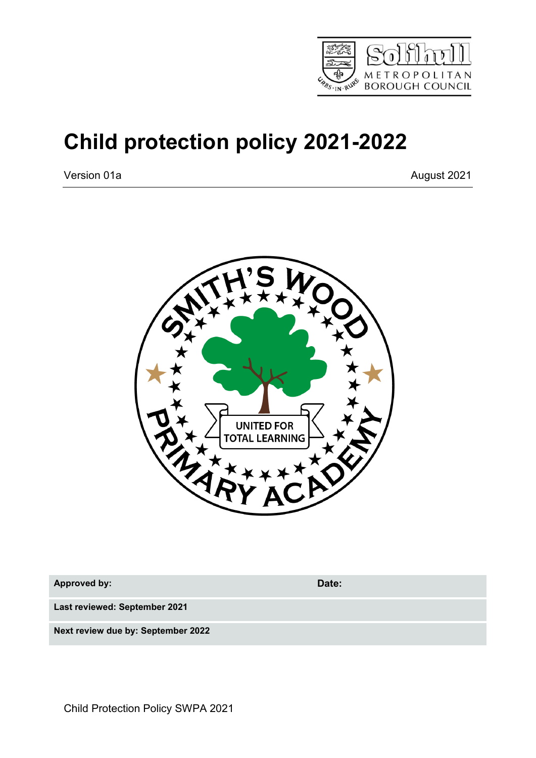

# **Child protection policy 2021-2022**

Version 01a **August 2021** New York 2021



**Approved by: Date:**

**Last reviewed: September 2021**

**Next review due by: September 2022**

Child Protection Policy SWPA 2021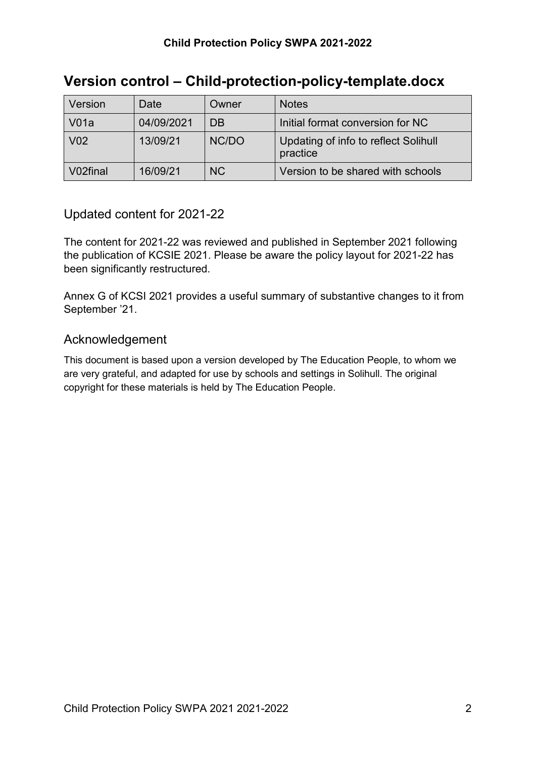#### **Version control – Child-protection-policy-template.docx**

| Version          | Date       | Owner | <b>Notes</b>                                     |
|------------------|------------|-------|--------------------------------------------------|
| V <sub>01a</sub> | 04/09/2021 | DB    | Initial format conversion for NC                 |
| V <sub>02</sub>  | 13/09/21   | NC/DO | Updating of info to reflect Solihull<br>practice |
| V02final         | 16/09/21   | NC.   | Version to be shared with schools                |

#### Updated content for 2021-22

The content for 2021-22 was reviewed and published in September 2021 following the publication of KCSIE 2021. Please be aware the policy layout for 2021-22 has been significantly restructured.

Annex G of KCSI 2021 provides a useful summary of substantive changes to it from September '21.

#### Acknowledgement

This document is based upon a version developed by The Education People, to whom we are very grateful, and adapted for use by schools and settings in Solihull. The original copyright for these materials is held by The Education People.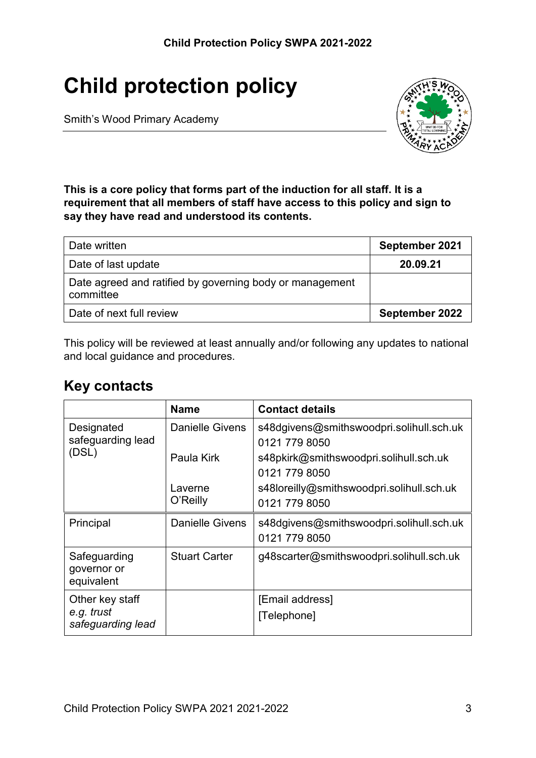# <span id="page-2-0"></span>**Child protection policy**

Smith's Wood Primary Academy



**This is a core policy that forms part of the induction for all staff. It is a requirement that all members of staff have access to this policy and sign to say they have read and understood its contents.**

| Date written                                                          | September 2021 |
|-----------------------------------------------------------------------|----------------|
| Date of last update                                                   | 20.09.21       |
| Date agreed and ratified by governing body or management<br>committee |                |
| Date of next full review                                              | September 2022 |

This policy will be reviewed at least annually and/or following any updates to national and local guidance and procedures.

# <span id="page-2-1"></span>**Key contacts**

|                                                    | <b>Name</b>            | <b>Contact details</b>                                     |
|----------------------------------------------------|------------------------|------------------------------------------------------------|
| Designated<br>safeguarding lead                    | <b>Danielle Givens</b> | s48dgivens@smithswoodpri.solihull.sch.uk<br>0121 779 8050  |
| (DSL)                                              | Paula Kirk             | s48pkirk@smithswoodpri.solihull.sch.uk<br>0121 779 8050    |
|                                                    | Laverne<br>O'Reilly    | s48loreilly@smithswoodpri.solihull.sch.uk<br>0121 779 8050 |
| Principal                                          | <b>Danielle Givens</b> | s48dgivens@smithswoodpri.solihull.sch.uk<br>0121 779 8050  |
| Safeguarding<br>governor or<br>equivalent          | <b>Stuart Carter</b>   | g48scarter@smithswoodpri.solihull.sch.uk                   |
| Other key staff<br>e.g. trust<br>safeguarding lead |                        | [Email address]<br>[Telephone]                             |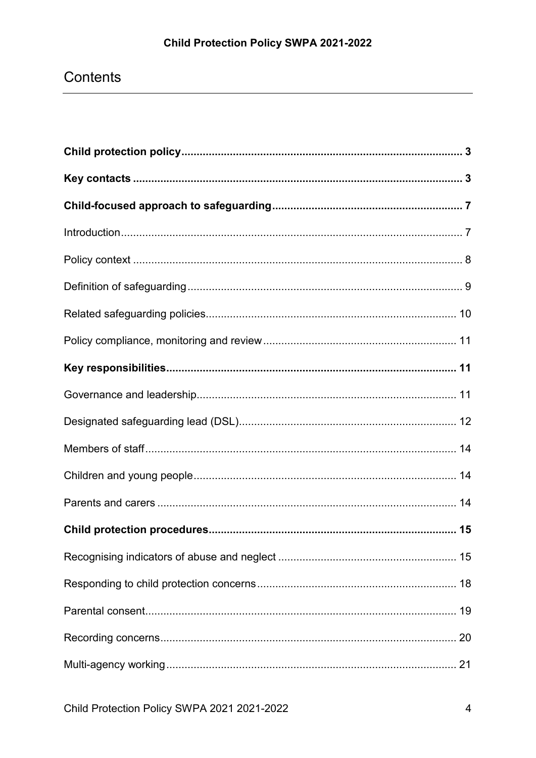# Contents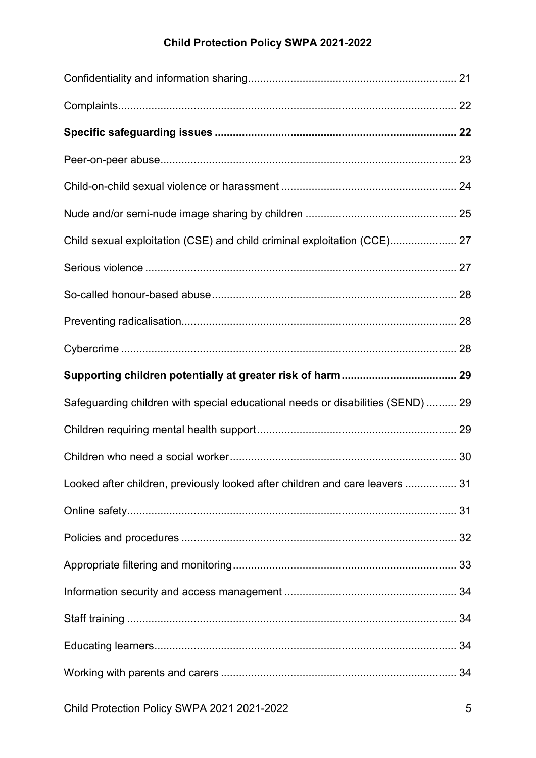| Child sexual exploitation (CSE) and child criminal exploitation (CCE) 27        |  |
|---------------------------------------------------------------------------------|--|
|                                                                                 |  |
|                                                                                 |  |
|                                                                                 |  |
|                                                                                 |  |
|                                                                                 |  |
| Safeguarding children with special educational needs or disabilities (SEND)  29 |  |
|                                                                                 |  |
|                                                                                 |  |
| Looked after children, previously looked after children and care leavers  31    |  |
|                                                                                 |  |
|                                                                                 |  |
|                                                                                 |  |
|                                                                                 |  |
|                                                                                 |  |
|                                                                                 |  |
|                                                                                 |  |
|                                                                                 |  |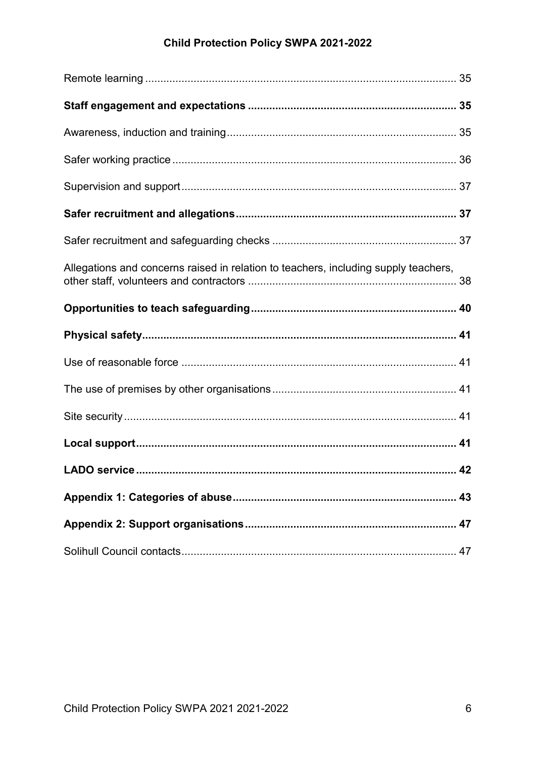| Allegations and concerns raised in relation to teachers, including supply teachers, |  |
|-------------------------------------------------------------------------------------|--|
|                                                                                     |  |
|                                                                                     |  |
|                                                                                     |  |
|                                                                                     |  |
|                                                                                     |  |
|                                                                                     |  |
|                                                                                     |  |
|                                                                                     |  |
|                                                                                     |  |
|                                                                                     |  |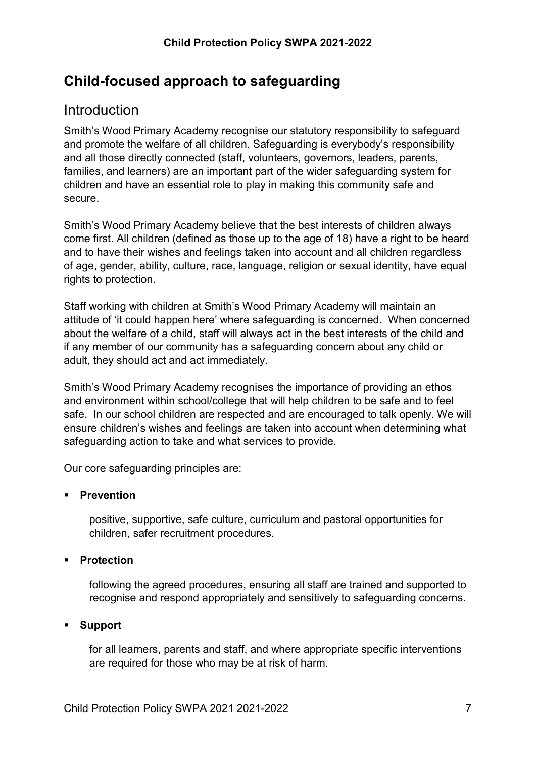# <span id="page-6-0"></span>**Child-focused approach to safeguarding**

#### <span id="page-6-1"></span>Introduction

Smith's Wood Primary Academy recognise our statutory responsibility to safeguard and promote the welfare of all children. Safeguarding is everybody's responsibility and all those directly connected (staff, volunteers, governors, leaders, parents, families, and learners) are an important part of the wider safeguarding system for children and have an essential role to play in making this community safe and secure.

Smith's Wood Primary Academy believe that the best interests of children always come first. All children (defined as those up to the age of 18) have a right to be heard and to have their wishes and feelings taken into account and all children regardless of age, gender, ability, culture, race, language, religion or sexual identity, have equal rights to protection.

Staff working with children at Smith's Wood Primary Academy will maintain an attitude of 'it could happen here' where safeguarding is concerned. When concerned about the welfare of a child, staff will always act in the best interests of the child and if any member of our community has a safeguarding concern about any child or adult, they should act and act immediately.

Smith's Wood Primary Academy recognises the importance of providing an ethos and environment within school/college that will help children to be safe and to feel safe. In our school children are respected and are encouraged to talk openly. We will ensure children's wishes and feelings are taken into account when determining what safeguarding action to take and what services to provide.

Our core safeguarding principles are:

#### **Prevention**

positive, supportive, safe culture, curriculum and pastoral opportunities for children, safer recruitment procedures.

#### **Protection**

following the agreed procedures, ensuring all staff are trained and supported to recognise and respond appropriately and sensitively to safeguarding concerns.

#### **Support**

for all learners, parents and staff, and where appropriate specific interventions are required for those who may be at risk of harm.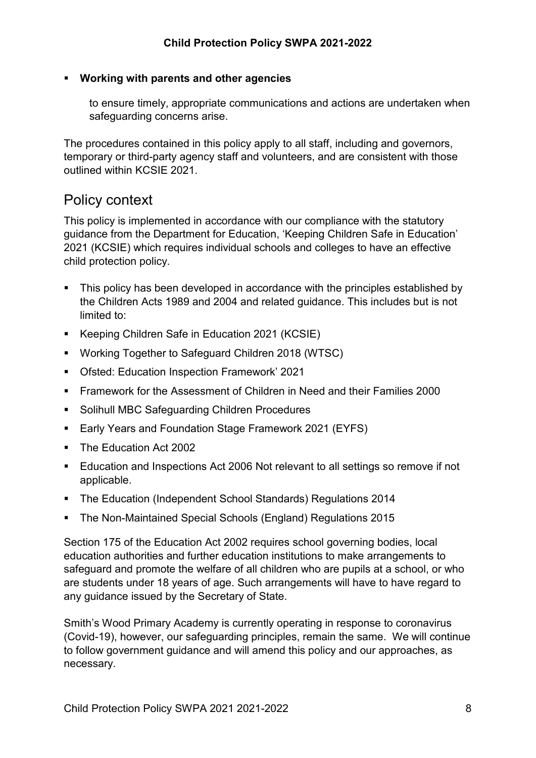#### **Working with parents and other agencies**

to ensure timely, appropriate communications and actions are undertaken when safeguarding concerns arise.

The procedures contained in this policy apply to all staff, including and governors, temporary or third-party agency staff and volunteers, and are consistent with those outlined within KCSIE 2021.

#### <span id="page-7-0"></span>Policy context

This policy is implemented in accordance with our compliance with the statutory guidance from the Department for Education, 'Keeping Children Safe in Education' 2021 (KCSIE) which requires individual schools and colleges to have an effective child protection policy.

- This policy has been developed in accordance with the principles established by the Children Acts 1989 and 2004 and related guidance. This includes but is not limited to:
- Keeping Children Safe in Education 2021 (KCSIE)
- Working Together to Safeguard Children 2018 (WTSC)
- Ofsted: Education Inspection Framework' 2021
- Framework for the Assessment of Children in Need and their Families 2000
- Solihull MBC Safeguarding Children Procedures
- **Early Years and Foundation Stage Framework 2021 (EYFS)**
- **The Education Act 2002**
- Education and Inspections Act 2006 Not relevant to all settings so remove if not applicable.
- The Education (Independent School Standards) Regulations 2014
- The Non-Maintained Special Schools (England) Regulations 2015

Section 175 of the Education Act 2002 requires school governing bodies, local education authorities and further education institutions to make arrangements to safeguard and promote the welfare of all children who are pupils at a school, or who are students under 18 years of age. Such arrangements will have to have regard to any guidance issued by the Secretary of State.

Smith's Wood Primary Academy is currently operating in response to coronavirus (Covid-19), however, our safeguarding principles, remain the same. We will continue to follow government guidance and will amend this policy and our approaches, as necessary.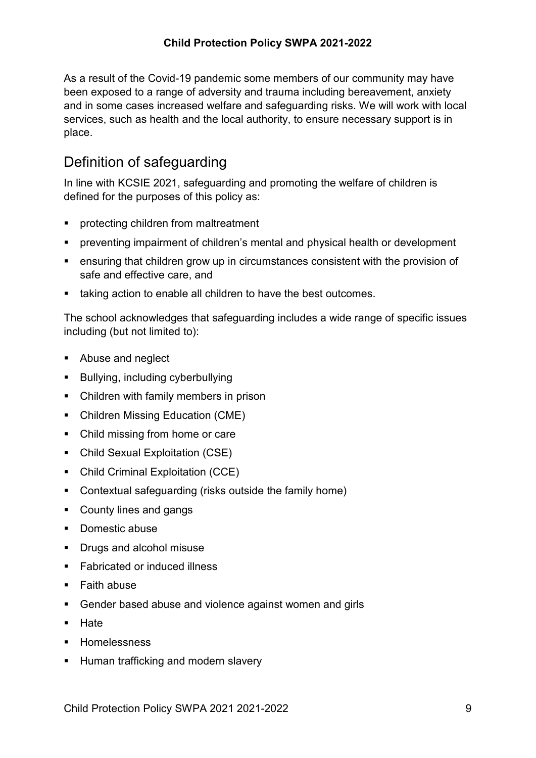As a result of the Covid-19 pandemic some members of our community may have been exposed to a range of adversity and trauma including bereavement, anxiety and in some cases increased welfare and safeguarding risks. We will work with local services, such as health and the local authority, to ensure necessary support is in place.

# <span id="page-8-0"></span>Definition of safeguarding

In line with KCSIE 2021, safeguarding and promoting the welfare of children is defined for the purposes of this policy as:

- **•** protecting children from maltreatment
- preventing impairment of children's mental and physical health or development
- ensuring that children grow up in circumstances consistent with the provision of safe and effective care, and
- **taking action to enable all children to have the best outcomes.**

The school acknowledges that safeguarding includes a wide range of specific issues including (but not limited to):

- Abuse and neglect
- **Bullying, including cyberbullying**
- Children with family members in prison
- Children Missing Education (CME)
- Child missing from home or care
- Child Sexual Exploitation (CSE)
- Child Criminal Exploitation (CCE)
- Contextual safeguarding (risks outside the family home)
- County lines and gangs
- Domestic abuse
- **Drugs and alcohol misuse**
- Fabricated or induced illness
- **Faith abuse**
- Gender based abuse and violence against women and girls
- **Hate**
- **Homelessness**
- **Human trafficking and modern slavery**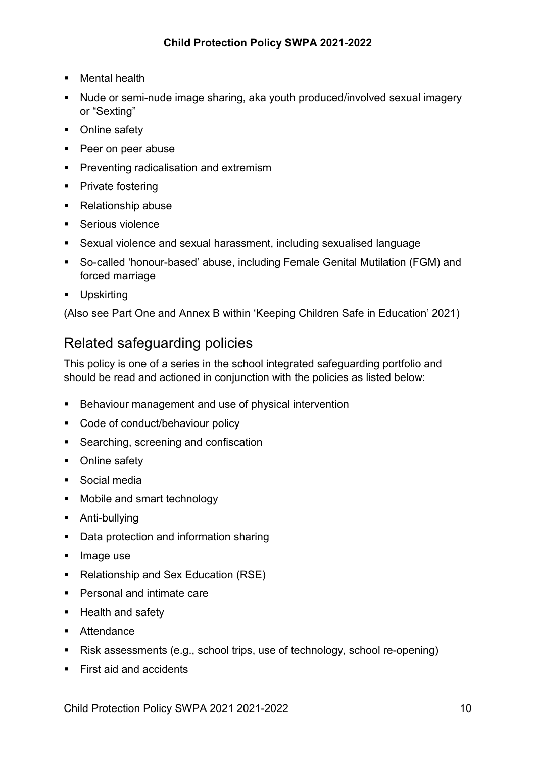- Mental health
- Nude or semi-nude image sharing, aka youth produced/involved sexual imagery or "Sexting"
- Online safety
- Peer on peer abuse
- **Preventing radicalisation and extremism**
- Private fostering
- Relationship abuse
- **Serious violence**
- Sexual violence and sexual harassment, including sexualised language
- So-called 'honour-based' abuse, including Female Genital Mutilation (FGM) and forced marriage
- **Upskirting**

(Also see Part One and Annex B within 'Keeping Children Safe in Education' 2021)

# <span id="page-9-0"></span>Related safeguarding policies

This policy is one of a series in the school integrated safeguarding portfolio and should be read and actioned in conjunction with the policies as listed below:

- **Behaviour management and use of physical intervention**
- Code of conduct/behaviour policy
- Searching, screening and confiscation
- Online safety
- Social media
- Mobile and smart technology
- Anti-bullying
- Data protection and information sharing
- **Image use**
- Relationship and Sex Education (RSE)
- Personal and intimate care
- **Health and safety**
- **Attendance**
- Risk assessments (e.g., school trips, use of technology, school re-opening)
- First aid and accidents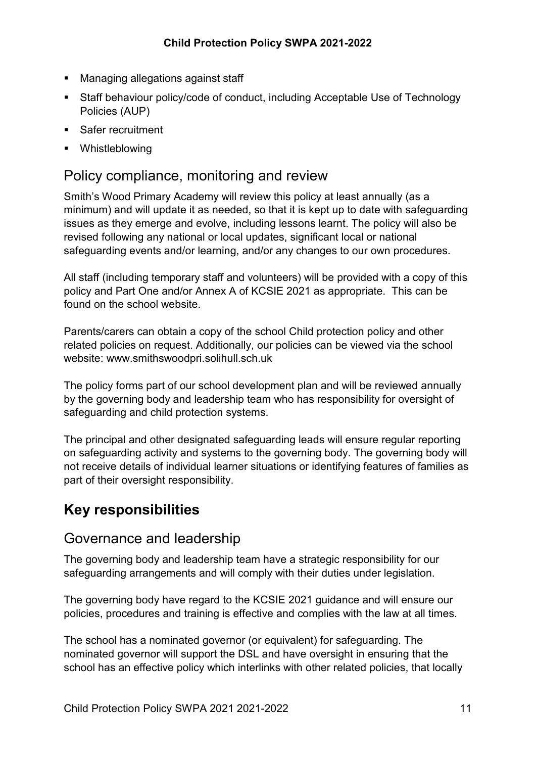- **Managing allegations against staff**
- Staff behaviour policy/code of conduct, including Acceptable Use of Technology Policies (AUP)
- **Safer recruitment**
- **•** Whistleblowing

### <span id="page-10-0"></span>Policy compliance, monitoring and review

Smith's Wood Primary Academy will review this policy at least annually (as a minimum) and will update it as needed, so that it is kept up to date with safeguarding issues as they emerge and evolve, including lessons learnt. The policy will also be revised following any national or local updates, significant local or national safeguarding events and/or learning, and/or any changes to our own procedures.

All staff (including temporary staff and volunteers) will be provided with a copy of this policy and Part One and/or Annex A of KCSIE 2021 as appropriate. This can be found on the school website.

Parents/carers can obtain a copy of the school Child protection policy and other related policies on request. Additionally, our policies can be viewed via the school website: www.smithswoodpri.solihull.sch.uk

The policy forms part of our school development plan and will be reviewed annually by the governing body and leadership team who has responsibility for oversight of safeguarding and child protection systems.

The principal and other designated safeguarding leads will ensure regular reporting on safeguarding activity and systems to the governing body. The governing body will not receive details of individual learner situations or identifying features of families as part of their oversight responsibility.

# <span id="page-10-1"></span>**Key responsibilities**

#### <span id="page-10-2"></span>Governance and leadership

The governing body and leadership team have a strategic responsibility for our safeguarding arrangements and will comply with their duties under legislation.

The governing body have regard to the KCSIE 2021 guidance and will ensure our policies, procedures and training is effective and complies with the law at all times.

The school has a nominated governor (or equivalent) for safeguarding. The nominated governor will support the DSL and have oversight in ensuring that the school has an effective policy which interlinks with other related policies, that locally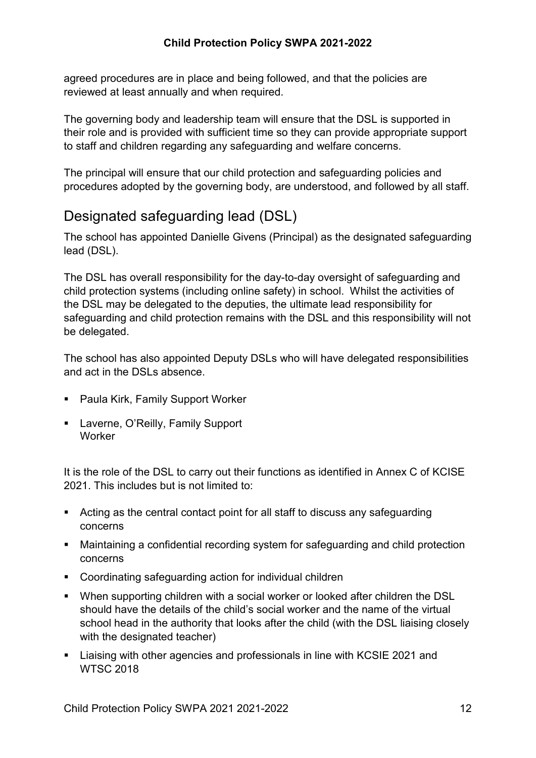agreed procedures are in place and being followed, and that the policies are reviewed at least annually and when required.

The governing body and leadership team will ensure that the DSL is supported in their role and is provided with sufficient time so they can provide appropriate support to staff and children regarding any safeguarding and welfare concerns.

The principal will ensure that our child protection and safeguarding policies and procedures adopted by the governing body, are understood, and followed by all staff.

# <span id="page-11-0"></span>Designated safeguarding lead (DSL)

The school has appointed Danielle Givens (Principal) as the designated safeguarding lead (DSL).

The DSL has overall responsibility for the day-to-day oversight of safeguarding and child protection systems (including online safety) in school. Whilst the activities of the DSL may be delegated to the deputies, the ultimate lead responsibility for safeguarding and child protection remains with the DSL and this responsibility will not be delegated.

The school has also appointed Deputy DSLs who will have delegated responsibilities and act in the DSLs absence.

- Paula Kirk, Family Support Worker
- **EXEC** Laverne, O'Reilly, Family Support **Worker**

It is the role of the DSL to carry out their functions as identified in Annex C of KCISE 2021. This includes but is not limited to:

- Acting as the central contact point for all staff to discuss any safeguarding concerns
- Maintaining a confidential recording system for safeguarding and child protection concerns
- Coordinating safeguarding action for individual children
- When supporting children with a social worker or looked after children the DSL should have the details of the child's social worker and the name of the virtual school head in the authority that looks after the child (with the DSL liaising closely with the designated teacher)
- **EXTENDING** Liaising with other agencies and professionals in line with KCSIE 2021 and WTSC 2018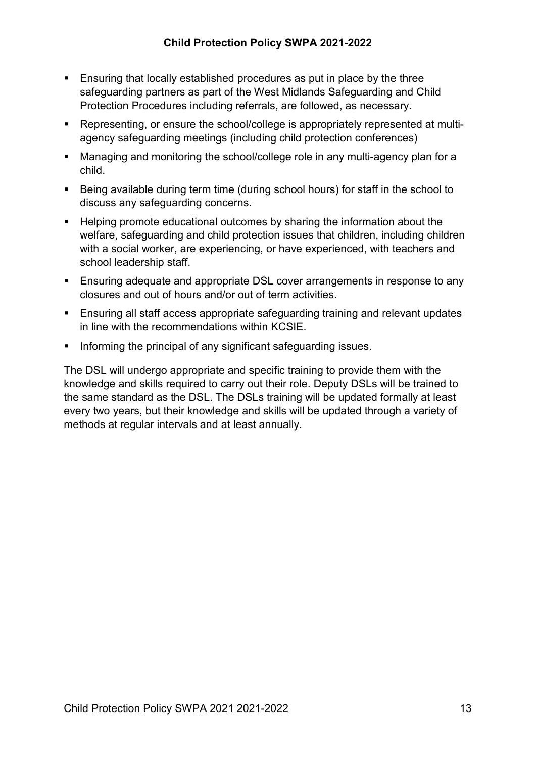- **Ensuring that locally established procedures as put in place by the three** safeguarding partners as part of the West Midlands Safeguarding and Child Protection Procedures including referrals, are followed, as necessary.
- Representing, or ensure the school/college is appropriately represented at multiagency safeguarding meetings (including child protection conferences)
- Managing and monitoring the school/college role in any multi-agency plan for a child.
- Being available during term time (during school hours) for staff in the school to discuss any safeguarding concerns.
- Helping promote educational outcomes by sharing the information about the welfare, safeguarding and child protection issues that children, including children with a social worker, are experiencing, or have experienced, with teachers and school leadership staff.
- Ensuring adequate and appropriate DSL cover arrangements in response to any closures and out of hours and/or out of term activities.
- **Ensuring all staff access appropriate safeguarding training and relevant updates** in line with the recommendations within KCSIE.
- Informing the principal of any significant safeguarding issues.

The DSL will undergo appropriate and specific training to provide them with the knowledge and skills required to carry out their role. Deputy DSLs will be trained to the same standard as the DSL. The DSLs training will be updated formally at least every two years, but their knowledge and skills will be updated through a variety of methods at regular intervals and at least annually.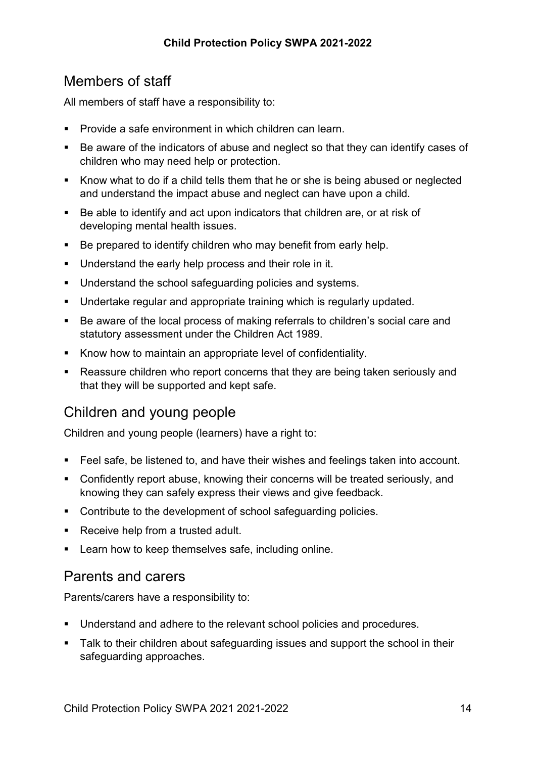# <span id="page-13-0"></span>Members of staff

All members of staff have a responsibility to:

- Provide a safe environment in which children can learn.
- Be aware of the indicators of abuse and neglect so that they can identify cases of children who may need help or protection.
- Know what to do if a child tells them that he or she is being abused or neglected and understand the impact abuse and neglect can have upon a child.
- Be able to identify and act upon indicators that children are, or at risk of developing mental health issues.
- **Be prepared to identify children who may benefit from early help.**
- Understand the early help process and their role in it.
- **Understand the school safeguarding policies and systems.**
- Undertake regular and appropriate training which is regularly updated.
- Be aware of the local process of making referrals to children's social care and statutory assessment under the Children Act 1989.
- Know how to maintain an appropriate level of confidentiality.
- Reassure children who report concerns that they are being taken seriously and that they will be supported and kept safe.

### <span id="page-13-1"></span>Children and young people

Children and young people (learners) have a right to:

- Feel safe, be listened to, and have their wishes and feelings taken into account.
- Confidently report abuse, knowing their concerns will be treated seriously, and knowing they can safely express their views and give feedback.
- Contribute to the development of school safeguarding policies.
- Receive help from a trusted adult.
- **EXECT** Learn how to keep themselves safe, including online.

#### <span id="page-13-2"></span>Parents and carers

Parents/carers have a responsibility to:

- **Understand and adhere to the relevant school policies and procedures.**
- **Talk to their children about safeguarding issues and support the school in their** safeguarding approaches.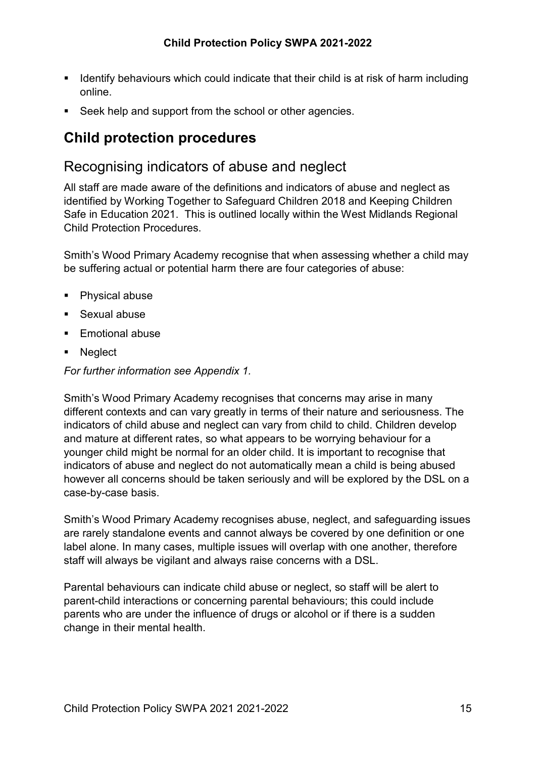- **If all identify behaviours which could indicate that their child is at risk of harm including** online.
- Seek help and support from the school or other agencies.

# <span id="page-14-0"></span>**Child protection procedures**

# <span id="page-14-1"></span>Recognising indicators of abuse and neglect

All staff are made aware of the definitions and indicators of abuse and neglect as identified by Working Together to Safeguard Children 2018 and Keeping Children Safe in Education 2021. This is outlined locally within the West Midlands Regional Child Protection Procedures.

Smith's Wood Primary Academy recognise that when assessing whether a child may be suffering actual or potential harm there are four categories of abuse:

- **Physical abuse**
- **Sexual abuse**
- $\blacksquare$  Emotional abuse
- **Neglect**

*For further information see Appendix 1.*

Smith's Wood Primary Academy recognises that concerns may arise in many different contexts and can vary greatly in terms of their nature and seriousness. The indicators of child abuse and neglect can vary from child to child. Children develop and mature at different rates, so what appears to be worrying behaviour for a younger child might be normal for an older child. It is important to recognise that indicators of abuse and neglect do not automatically mean a child is being abused however all concerns should be taken seriously and will be explored by the DSL on a case-by-case basis.

Smith's Wood Primary Academy recognises abuse, neglect, and safeguarding issues are rarely standalone events and cannot always be covered by one definition or one label alone. In many cases, multiple issues will overlap with one another, therefore staff will always be vigilant and always raise concerns with a DSL.

Parental behaviours can indicate child abuse or neglect, so staff will be alert to parent-child interactions or concerning parental behaviours; this could include parents who are under the influence of drugs or alcohol or if there is a sudden change in their mental health.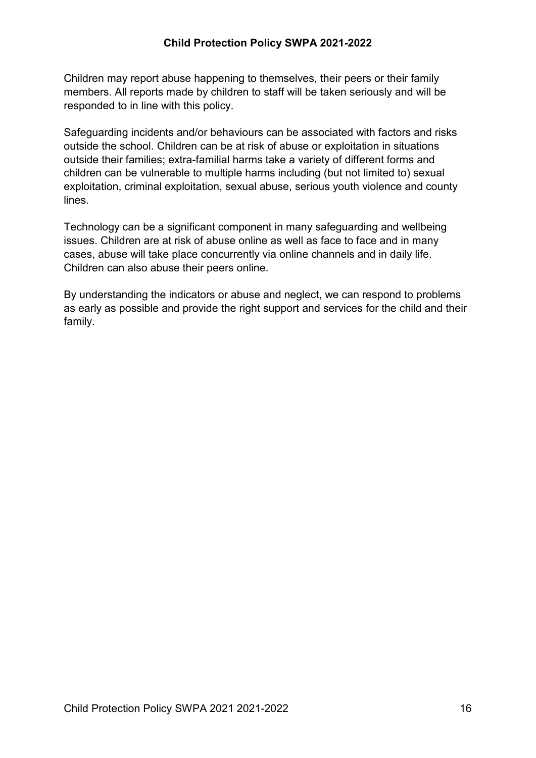Children may report abuse happening to themselves, their peers or their family members. All reports made by children to staff will be taken seriously and will be responded to in line with this policy.

Safeguarding incidents and/or behaviours can be associated with factors and risks outside the school. Children can be at risk of abuse or exploitation in situations outside their families; extra-familial harms take a variety of different forms and children can be vulnerable to multiple harms including (but not limited to) sexual exploitation, criminal exploitation, sexual abuse, serious youth violence and county lines.

Technology can be a significant component in many safeguarding and wellbeing issues. Children are at risk of abuse online as well as face to face and in many cases, abuse will take place concurrently via online channels and in daily life. Children can also abuse their peers online.

By understanding the indicators or abuse and neglect, we can respond to problems as early as possible and provide the right support and services for the child and their family.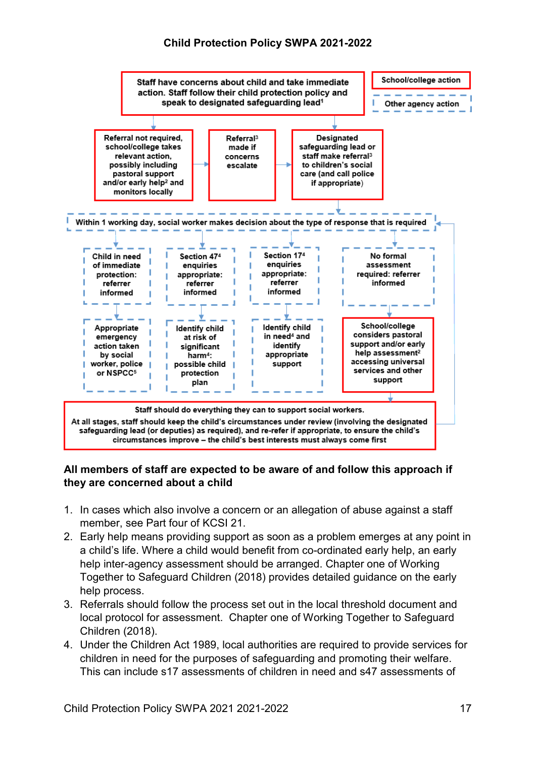

#### **All members of staff are expected to be aware of and follow this approach if they are concerned about a child**

- 1. In cases which also involve a concern or an allegation of abuse against a staff member, see Part four of KCSI 21.
- 2. Early help means providing support as soon as a problem emerges at any point in a child's life. Where a child would benefit from co-ordinated early help, an early help inter-agency assessment should be arranged. Chapter one of Working Together to Safeguard Children (2018) provides detailed guidance on the early help process.
- 3. Referrals should follow the process set out in the local threshold document and local protocol for assessment. Chapter one of Working Together to Safeguard Children (2018).
- 4. Under the Children Act 1989, local authorities are required to provide services for children in need for the purposes of safeguarding and promoting their welfare. This can include s17 assessments of children in need and s47 assessments of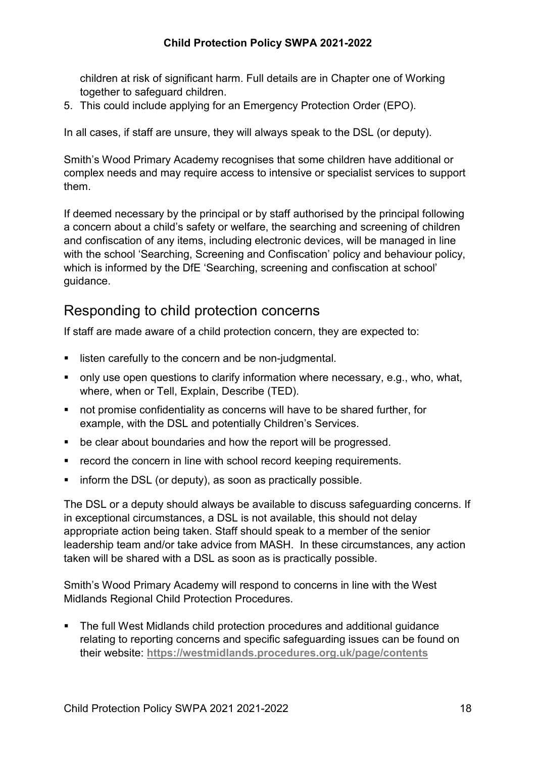children at risk of significant harm. Full details are in Chapter one of Working together to safeguard children.

5. This could include applying for an Emergency Protection Order (EPO).

In all cases, if staff are unsure, they will always speak to the DSL (or deputy).

Smith's Wood Primary Academy recognises that some children have additional or complex needs and may require access to intensive or specialist services to support them.

If deemed necessary by the principal or by staff authorised by the principal following a concern about a child's safety or welfare, the searching and screening of children and confiscation of any items, including electronic devices, will be managed in line with the school 'Searching, Screening and Confiscation' policy and behaviour policy, which is informed by the DfE 'Searching, screening and confiscation at school' guidance.

#### <span id="page-17-0"></span>Responding to child protection concerns

If staff are made aware of a child protection concern, they are expected to:

- **If listen carefully to the concern and be non-judgmental.**
- only use open questions to clarify information where necessary, e.g., who, what, where, when or Tell, Explain, Describe (TED).
- not promise confidentiality as concerns will have to be shared further, for example, with the DSL and potentially Children's Services.
- be clear about boundaries and how the report will be progressed.
- **F** record the concern in line with school record keeping requirements.
- inform the DSL (or deputy), as soon as practically possible.

The DSL or a deputy should always be available to discuss safeguarding concerns. If in exceptional circumstances, a DSL is not available, this should not delay appropriate action being taken. Staff should speak to a member of the senior leadership team and/or take advice from MASH. In these circumstances, any action taken will be shared with a DSL as soon as is practically possible.

Smith's Wood Primary Academy will respond to concerns in line with the West Midlands Regional Child Protection Procedures.

 The full West Midlands child protection procedures and additional guidance relating to reporting concerns and specific safeguarding issues can be found on their website: **<https://westmidlands.procedures.org.uk/page/contents>**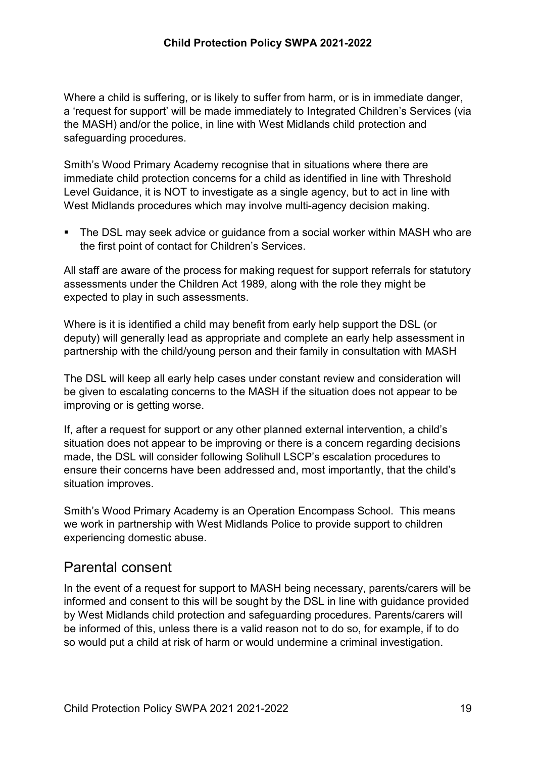Where a child is suffering, or is likely to suffer from harm, or is in immediate danger, a 'request for support' will be made immediately to Integrated Children's Services (via the MASH) and/or the police, in line with West Midlands child protection and safeguarding procedures.

Smith's Wood Primary Academy recognise that in situations where there are immediate child protection concerns for a child as identified in line with Threshold Level Guidance, it is NOT to investigate as a single agency, but to act in line with West Midlands procedures which may involve multi-agency decision making.

■ The DSL may seek advice or quidance from a social worker within MASH who are the first point of contact for Children's Services.

All staff are aware of the process for making request for support referrals for statutory assessments under the Children Act 1989, along with the role they might be expected to play in such assessments.

Where is it is identified a child may benefit from early help support the DSL (or deputy) will generally lead as appropriate and complete an early help assessment in partnership with the child/young person and their family in consultation with MASH

The DSL will keep all early help cases under constant review and consideration will be given to escalating concerns to the MASH if the situation does not appear to be improving or is getting worse.

If, after a request for support or any other planned external intervention, a child's situation does not appear to be improving or there is a concern regarding decisions made, the DSL will consider following Solihull LSCP's escalation procedures to ensure their concerns have been addressed and, most importantly, that the child's situation improves.

Smith's Wood Primary Academy is an Operation Encompass School. This means we work in partnership with West Midlands Police to provide support to children experiencing domestic abuse.

#### <span id="page-18-0"></span>Parental consent

In the event of a request for support to MASH being necessary, parents/carers will be informed and consent to this will be sought by the DSL in line with guidance provided by West Midlands child protection and safeguarding procedures. Parents/carers will be informed of this, unless there is a valid reason not to do so, for example, if to do so would put a child at risk of harm or would undermine a criminal investigation.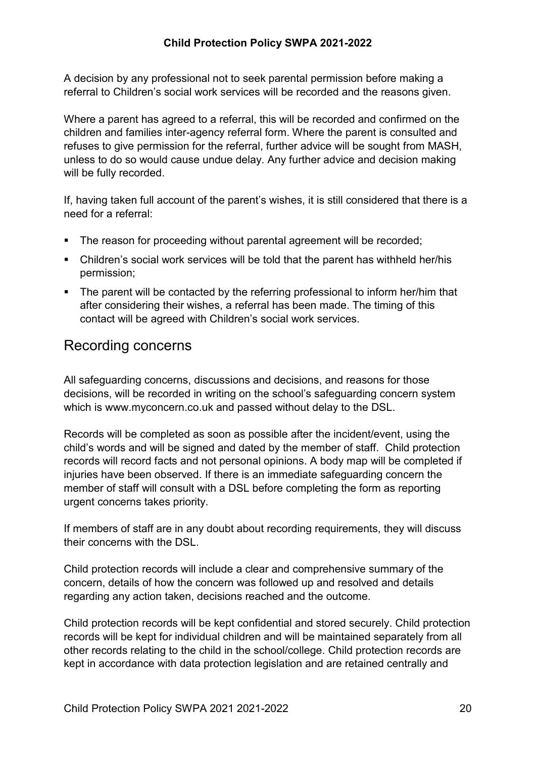A decision by any professional not to seek parental permission before making a referral to Children's social work services will be recorded and the reasons given.

Where a parent has agreed to a referral, this will be recorded and confirmed on the children and families inter-agency referral form. Where the parent is consulted and refuses to give permission for the referral, further advice will be sought from MASH, unless to do so would cause undue delay. Any further advice and decision making will be fully recorded.

If, having taken full account of the parent's wishes, it is still considered that there is a need for a referral:

- The reason for proceeding without parental agreement will be recorded;
- Children's social work services will be told that the parent has withheld her/his permission;
- The parent will be contacted by the referring professional to inform her/him that after considering their wishes, a referral has been made. The timing of this contact will be agreed with Children's social work services.

#### <span id="page-19-0"></span>Recording concerns

All safeguarding concerns, discussions and decisions, and reasons for those decisions, will be recorded in writing on the school's safeguarding concern system which is www.myconcern.co.uk and passed without delay to the DSL.

Records will be completed as soon as possible after the incident/event, using the child's words and will be signed and dated by the member of staff. Child protection records will record facts and not personal opinions. A body map will be completed if injuries have been observed. If there is an immediate safeguarding concern the member of staff will consult with a DSL before completing the form as reporting urgent concerns takes priority.

If members of staff are in any doubt about recording requirements, they will discuss their concerns with the DSL.

Child protection records will include a clear and comprehensive summary of the concern, details of how the concern was followed up and resolved and details regarding any action taken, decisions reached and the outcome.

Child protection records will be kept confidential and stored securely. Child protection records will be kept for individual children and will be maintained separately from all other records relating to the child in the school/college. Child protection records are kept in accordance with data protection legislation and are retained centrally and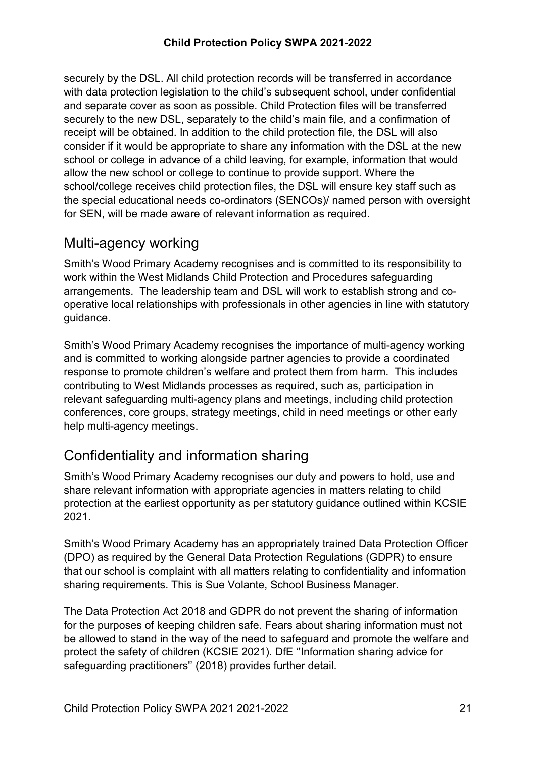securely by the DSL. All child protection records will be transferred in accordance with data protection legislation to the child's subsequent school, under confidential and separate cover as soon as possible. Child Protection files will be transferred securely to the new DSL, separately to the child's main file, and a confirmation of receipt will be obtained. In addition to the child protection file, the DSL will also consider if it would be appropriate to share any information with the DSL at the new school or college in advance of a child leaving, for example, information that would allow the new school or college to continue to provide support. Where the school/college receives child protection files, the DSL will ensure key staff such as the special educational needs co-ordinators (SENCOs)/ named person with oversight for SEN, will be made aware of relevant information as required.

### <span id="page-20-0"></span>Multi-agency working

Smith's Wood Primary Academy recognises and is committed to its responsibility to work within the West Midlands Child Protection and Procedures safeguarding arrangements. The leadership team and DSL will work to establish strong and cooperative local relationships with professionals in other agencies in line with statutory guidance.

Smith's Wood Primary Academy recognises the importance of multi-agency working and is committed to working alongside partner agencies to provide a coordinated response to promote children's welfare and protect them from harm. This includes contributing to West Midlands processes as required, such as, participation in relevant safeguarding multi-agency plans and meetings, including child protection conferences, core groups, strategy meetings, child in need meetings or other early help multi-agency meetings.

# <span id="page-20-1"></span>Confidentiality and information sharing

Smith's Wood Primary Academy recognises our duty and powers to hold, use and share relevant information with appropriate agencies in matters relating to child protection at the earliest opportunity as per statutory guidance outlined within KCSIE 2021.

Smith's Wood Primary Academy has an appropriately trained Data Protection Officer (DPO) as required by the General Data Protection Regulations (GDPR) to ensure that our school is complaint with all matters relating to confidentiality and information sharing requirements. This is Sue Volante, School Business Manager.

The Data Protection Act 2018 and GDPR do not prevent the sharing of information for the purposes of keeping children safe. Fears about sharing information must not be allowed to stand in the way of the need to safeguard and promote the welfare and protect the safety of children (KCSIE 2021). DfE ''Information sharing advice for safeguarding practitioners'' (2018) provides further detail.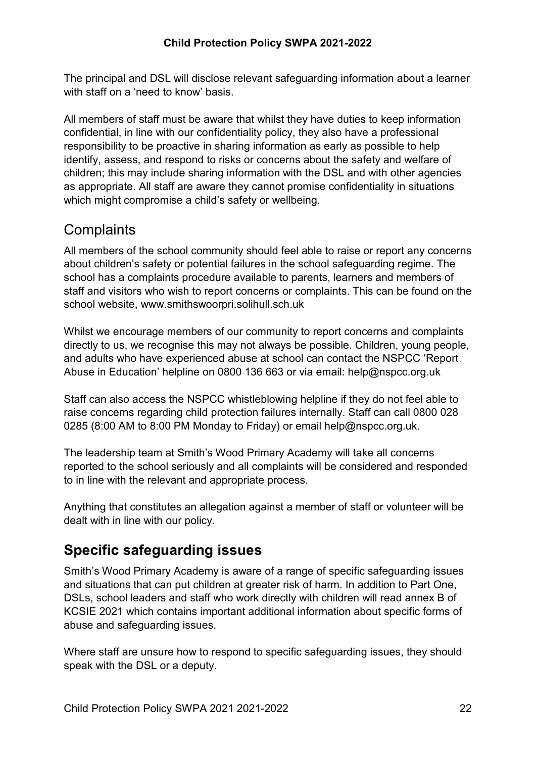The principal and DSL will disclose relevant safeguarding information about a learner with staff on a 'need to know' basis.

All members of staff must be aware that whilst they have duties to keep information confidential, in line with our confidentiality policy, they also have a professional responsibility to be proactive in sharing information as early as possible to help identify, assess, and respond to risks or concerns about the safety and welfare of children; this may include sharing information with the DSL and with other agencies as appropriate. All staff are aware they cannot promise confidentiality in situations which might compromise a child's safety or wellbeing.

### <span id="page-21-0"></span>**Complaints**

All members of the school community should feel able to raise or report any concerns about children's safety or potential failures in the school safeguarding regime. The school has a complaints procedure available to parents, learners and members of staff and visitors who wish to report concerns or complaints. This can be found on the school website, www.smithswoorpri.solihull.sch.uk

Whilst we encourage members of our community to report concerns and complaints directly to us, we recognise this may not always be possible. Children, young people, and adults who have experienced abuse at school can contact the NSPCC 'Report Abuse in Education' helpline on 0800 136 663 or via email: help@nspcc.org.uk

Staff can also access the NSPCC whistleblowing helpline if they do not feel able to raise concerns regarding child protection failures internally. Staff can call 0800 028 0285 (8:00 AM to 8:00 PM Monday to Friday) or email help@nspcc.org.uk.

The leadership team at Smith's Wood Primary Academy will take all concerns reported to the school seriously and all complaints will be considered and responded to in line with the relevant and appropriate process.

Anything that constitutes an allegation against a member of staff or volunteer will be dealt with in line with our policy.

# <span id="page-21-1"></span>**Specific safeguarding issues**

Smith's Wood Primary Academy is aware of a range of specific safeguarding issues and situations that can put children at greater risk of harm. In addition to Part One, DSLs, school leaders and staff who work directly with children will read annex B of KCSIE 2021 which contains important additional information about specific forms of abuse and safeguarding issues.

Where staff are unsure how to respond to specific safeguarding issues, they should speak with the DSL or a deputy.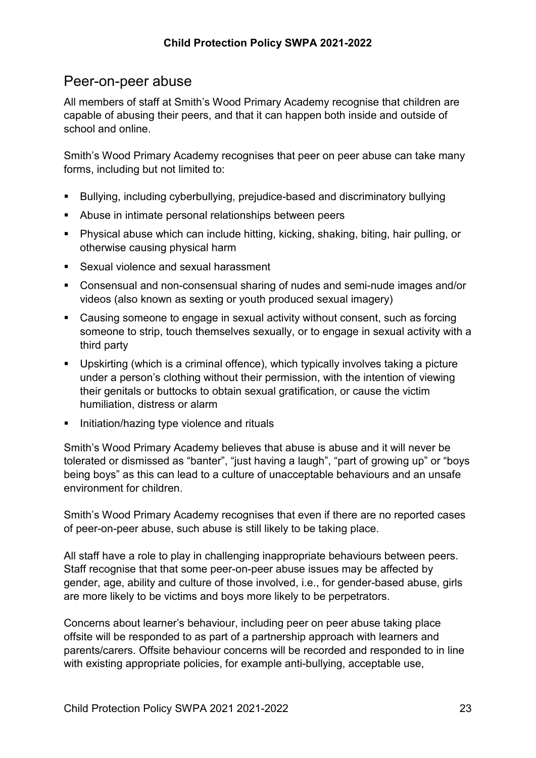### <span id="page-22-0"></span>Peer-on-peer abuse

All members of staff at Smith's Wood Primary Academy recognise that children are capable of abusing their peers, and that it can happen both inside and outside of school and online.

Smith's Wood Primary Academy recognises that peer on peer abuse can take many forms, including but not limited to:

- Bullying, including cyberbullying, prejudice-based and discriminatory bullying
- Abuse in intimate personal relationships between peers
- Physical abuse which can include hitting, kicking, shaking, biting, hair pulling, or otherwise causing physical harm
- Sexual violence and sexual harassment
- Consensual and non-consensual sharing of nudes and semi-nude images and/or videos (also known as sexting or youth produced sexual imagery)
- Causing someone to engage in sexual activity without consent, such as forcing someone to strip, touch themselves sexually, or to engage in sexual activity with a third party
- Upskirting (which is a criminal offence), which typically involves taking a picture under a person's clothing without their permission, with the intention of viewing their genitals or buttocks to obtain sexual gratification, or cause the victim humiliation, distress or alarm
- Initiation/hazing type violence and rituals

Smith's Wood Primary Academy believes that abuse is abuse and it will never be tolerated or dismissed as "banter", "just having a laugh", "part of growing up" or "boys being boys" as this can lead to a culture of unacceptable behaviours and an unsafe environment for children.

Smith's Wood Primary Academy recognises that even if there are no reported cases of peer-on-peer abuse, such abuse is still likely to be taking place.

All staff have a role to play in challenging inappropriate behaviours between peers. Staff recognise that that some peer-on-peer abuse issues may be affected by gender, age, ability and culture of those involved, i.e., for gender-based abuse, girls are more likely to be victims and boys more likely to be perpetrators.

Concerns about learner's behaviour, including peer on peer abuse taking place offsite will be responded to as part of a partnership approach with learners and parents/carers. Offsite behaviour concerns will be recorded and responded to in line with existing appropriate policies, for example anti-bullying, acceptable use,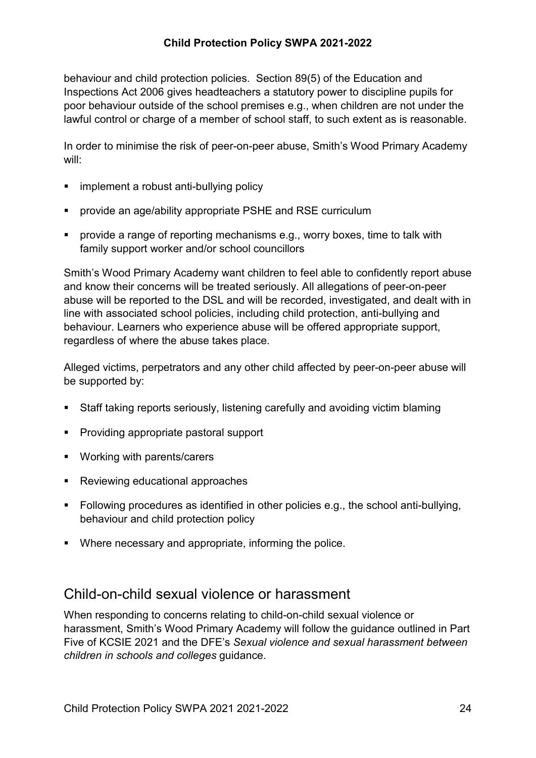behaviour and child protection policies. Section 89(5) of the Education and Inspections Act 2006 gives headteachers a statutory power to discipline pupils for poor behaviour outside of the school premises e.g., when children are not under the lawful control or charge of a member of school staff, to such extent as is reasonable.

In order to minimise the risk of peer-on-peer abuse, Smith's Wood Primary Academy will:

- **EXEDENCE Implement a robust anti-bullying policy**
- **•** provide an age/ability appropriate PSHE and RSE curriculum
- **•** provide a range of reporting mechanisms e.g., worry boxes, time to talk with family support worker and/or school councillors

Smith's Wood Primary Academy want children to feel able to confidently report abuse and know their concerns will be treated seriously. All allegations of peer-on-peer abuse will be reported to the DSL and will be recorded, investigated, and dealt with in line with associated school policies, including child protection, anti-bullying and behaviour. Learners who experience abuse will be offered appropriate support, regardless of where the abuse takes place.

Alleged victims, perpetrators and any other child affected by peer-on-peer abuse will be supported by:

- Staff taking reports seriously, listening carefully and avoiding victim blaming
- **Providing appropriate pastoral support**
- Working with parents/carers
- Reviewing educational approaches
- Following procedures as identified in other policies e.g., the school anti-bullying, behaviour and child protection policy
- Where necessary and appropriate, informing the police.

#### <span id="page-23-0"></span>Child-on-child sexual violence or harassment

When responding to concerns relating to child-on-child sexual violence or harassment, Smith's Wood Primary Academy will follow the guidance outlined in Part Five of KCSIE 2021 and the DFE's *Sexual violence and sexual harassment between children in schools and colleges* guidance.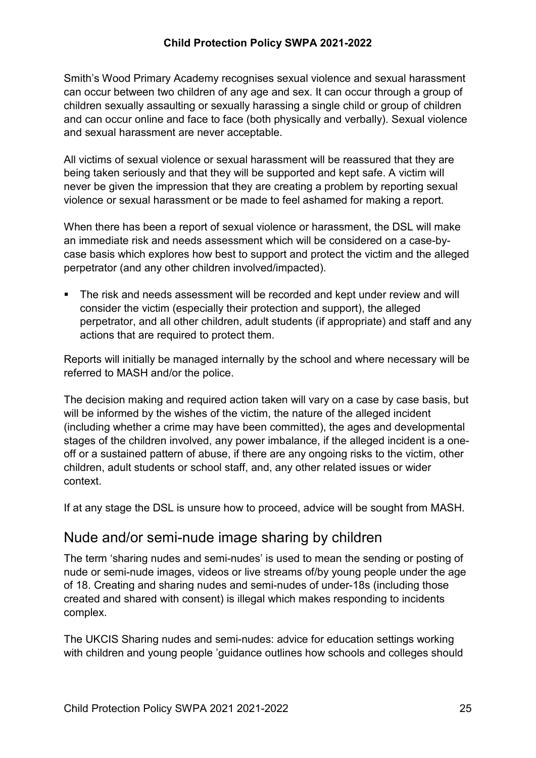Smith's Wood Primary Academy recognises sexual violence and sexual harassment can occur between two children of any age and sex. It can occur through a group of children sexually assaulting or sexually harassing a single child or group of children and can occur online and face to face (both physically and verbally). Sexual violence and sexual harassment are never acceptable.

All victims of sexual violence or sexual harassment will be reassured that they are being taken seriously and that they will be supported and kept safe. A victim will never be given the impression that they are creating a problem by reporting sexual violence or sexual harassment or be made to feel ashamed for making a report.

When there has been a report of sexual violence or harassment, the DSL will make an immediate risk and needs assessment which will be considered on a case-bycase basis which explores how best to support and protect the victim and the alleged perpetrator (and any other children involved/impacted).

 The risk and needs assessment will be recorded and kept under review and will consider the victim (especially their protection and support), the alleged perpetrator, and all other children, adult students (if appropriate) and staff and any actions that are required to protect them.

Reports will initially be managed internally by the school and where necessary will be referred to MASH and/or the police.

The decision making and required action taken will vary on a case by case basis, but will be informed by the wishes of the victim, the nature of the alleged incident (including whether a crime may have been committed), the ages and developmental stages of the children involved, any power imbalance, if the alleged incident is a oneoff or a sustained pattern of abuse, if there are any ongoing risks to the victim, other children, adult students or school staff, and, any other related issues or wider context.

If at any stage the DSL is unsure how to proceed, advice will be sought from MASH.

### <span id="page-24-0"></span>Nude and/or semi-nude image sharing by children

The term 'sharing nudes and semi-nudes' is used to mean the sending or posting of nude or semi-nude images, videos or live streams of/by young people under the age of 18. Creating and sharing nudes and semi-nudes of under-18s (including those created and shared with consent) is illegal which makes responding to incidents complex.

The UKCIS Sharing nudes and semi-nudes: advice for education settings working with children and young people 'guidance outlines how schools and colleges should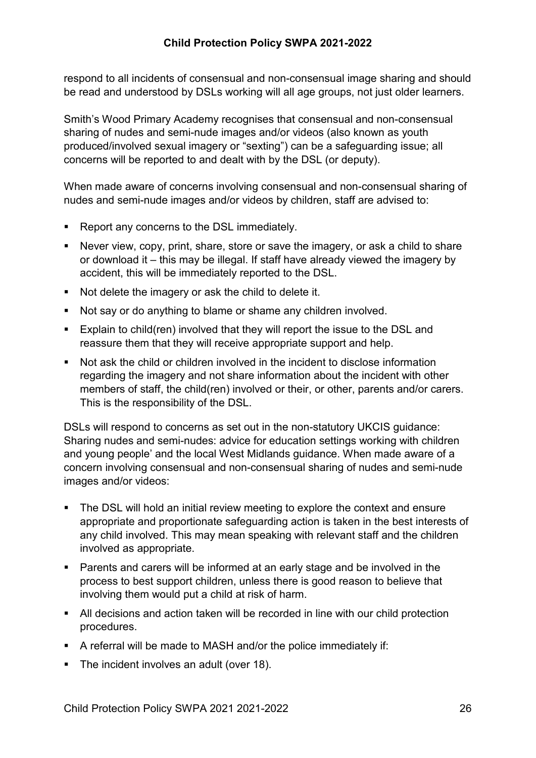respond to all incidents of consensual and non-consensual image sharing and should be read and understood by DSLs working will all age groups, not just older learners.

Smith's Wood Primary Academy recognises that consensual and non-consensual sharing of nudes and semi-nude images and/or videos (also known as youth produced/involved sexual imagery or "sexting") can be a safeguarding issue; all concerns will be reported to and dealt with by the DSL (or deputy).

When made aware of concerns involving consensual and non-consensual sharing of nudes and semi-nude images and/or videos by children, staff are advised to:

- **Report any concerns to the DSL immediately.**
- Never view, copy, print, share, store or save the imagery, or ask a child to share or download it – this may be illegal. If staff have already viewed the imagery by accident, this will be immediately reported to the DSL.
- Not delete the imagery or ask the child to delete it.
- Not say or do anything to blame or shame any children involved.
- **Explain to child(ren) involved that they will report the issue to the DSL and** reassure them that they will receive appropriate support and help.
- Not ask the child or children involved in the incident to disclose information regarding the imagery and not share information about the incident with other members of staff, the child(ren) involved or their, or other, parents and/or carers. This is the responsibility of the DSL.

DSLs will respond to concerns as set out in the non-statutory UKCIS guidance: Sharing nudes and semi-nudes: advice for education settings working with children and young people' and the local West Midlands guidance. When made aware of a concern involving consensual and non-consensual sharing of nudes and semi-nude images and/or videos:

- The DSL will hold an initial review meeting to explore the context and ensure appropriate and proportionate safeguarding action is taken in the best interests of any child involved. This may mean speaking with relevant staff and the children involved as appropriate.
- Parents and carers will be informed at an early stage and be involved in the process to best support children, unless there is good reason to believe that involving them would put a child at risk of harm.
- All decisions and action taken will be recorded in line with our child protection procedures.
- A referral will be made to MASH and/or the police immediately if:
- The incident involves an adult (over 18).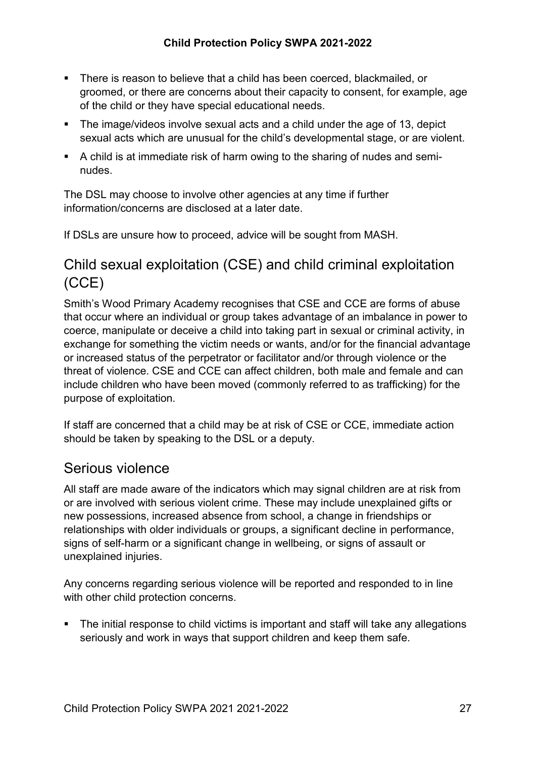- There is reason to believe that a child has been coerced, blackmailed, or groomed, or there are concerns about their capacity to consent, for example, age of the child or they have special educational needs.
- The image/videos involve sexual acts and a child under the age of 13, depict sexual acts which are unusual for the child's developmental stage, or are violent.
- A child is at immediate risk of harm owing to the sharing of nudes and seminudes.

The DSL may choose to involve other agencies at any time if further information/concerns are disclosed at a later date.

If DSLs are unsure how to proceed, advice will be sought from MASH.

# <span id="page-26-0"></span>Child sexual exploitation (CSE) and child criminal exploitation (CCE)

Smith's Wood Primary Academy recognises that CSE and CCE are forms of abuse that occur where an individual or group takes advantage of an imbalance in power to coerce, manipulate or deceive a child into taking part in sexual or criminal activity, in exchange for something the victim needs or wants, and/or for the financial advantage or increased status of the perpetrator or facilitator and/or through violence or the threat of violence. CSE and CCE can affect children, both male and female and can include children who have been moved (commonly referred to as trafficking) for the purpose of exploitation.

If staff are concerned that a child may be at risk of CSE or CCE, immediate action should be taken by speaking to the DSL or a deputy.

#### <span id="page-26-1"></span>Serious violence

All staff are made aware of the indicators which may signal children are at risk from or are involved with serious violent crime. These may include unexplained gifts or new possessions, increased absence from school, a change in friendships or relationships with older individuals or groups, a significant decline in performance, signs of self-harm or a significant change in wellbeing, or signs of assault or unexplained injuries.

Any concerns regarding serious violence will be reported and responded to in line with other child protection concerns.

• The initial response to child victims is important and staff will take any allegations seriously and work in ways that support children and keep them safe.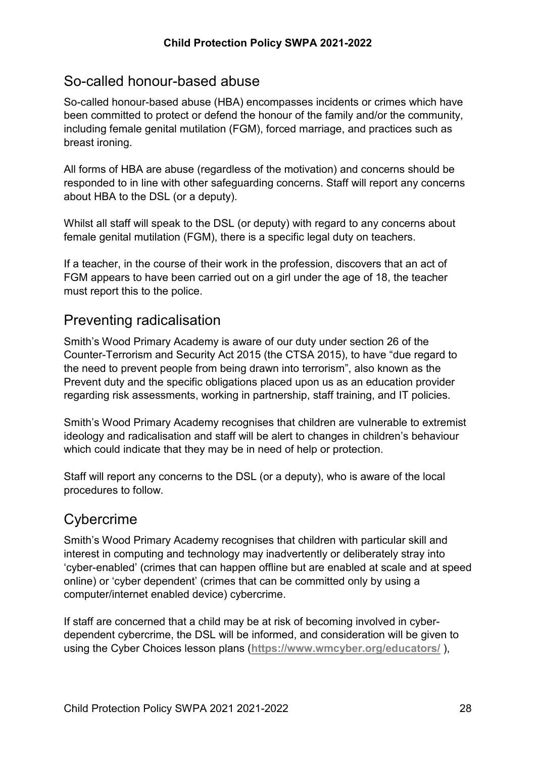#### <span id="page-27-0"></span>So-called honour-based abuse

So-called honour-based abuse (HBA) encompasses incidents or crimes which have been committed to protect or defend the honour of the family and/or the community, including female genital mutilation (FGM), forced marriage, and practices such as breast ironing.

All forms of HBA are abuse (regardless of the motivation) and concerns should be responded to in line with other safeguarding concerns. Staff will report any concerns about HBA to the DSL (or a deputy).

Whilst all staff will speak to the DSL (or deputy) with regard to any concerns about female genital mutilation (FGM), there is a specific legal duty on teachers.

If a teacher, in the course of their work in the profession, discovers that an act of FGM appears to have been carried out on a girl under the age of 18, the teacher must report this to the police.

#### <span id="page-27-1"></span>Preventing radicalisation

Smith's Wood Primary Academy is aware of our duty under section 26 of the Counter-Terrorism and Security Act 2015 (the CTSA 2015), to have "due regard to the need to prevent people from being drawn into terrorism", also known as the Prevent duty and the specific obligations placed upon us as an education provider regarding risk assessments, working in partnership, staff training, and IT policies.

Smith's Wood Primary Academy recognises that children are vulnerable to extremist ideology and radicalisation and staff will be alert to changes in children's behaviour which could indicate that they may be in need of help or protection.

Staff will report any concerns to the DSL (or a deputy), who is aware of the local procedures to follow.

#### <span id="page-27-2"></span>**Cybercrime**

Smith's Wood Primary Academy recognises that children with particular skill and interest in computing and technology may inadvertently or deliberately stray into 'cyber-enabled' (crimes that can happen offline but are enabled at scale and at speed online) or 'cyber dependent' (crimes that can be committed only by using a computer/internet enabled device) cybercrime.

If staff are concerned that a child may be at risk of becoming involved in cyberdependent cybercrime, the DSL will be informed, and consideration will be given to using the Cyber Choices lesson plans (**<https://www.wmcyber.org/educators/>** ),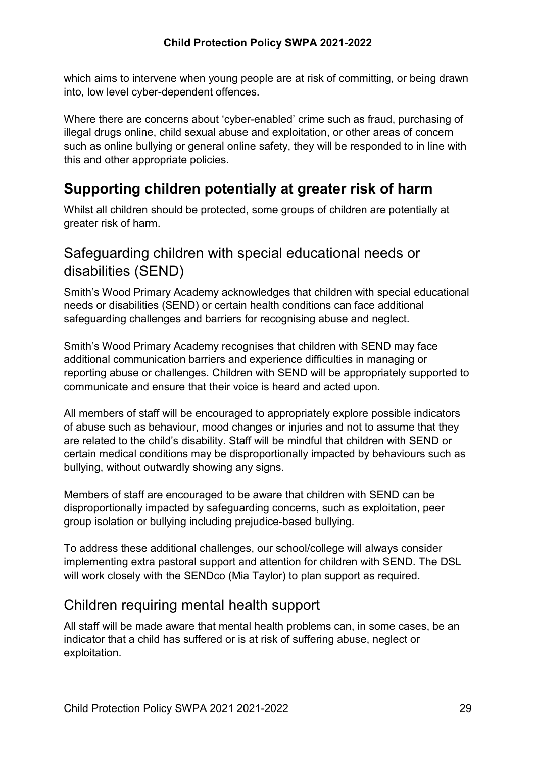which aims to intervene when young people are at risk of committing, or being drawn into, low level cyber-dependent offences.

Where there are concerns about 'cyber-enabled' crime such as fraud, purchasing of illegal drugs online, child sexual abuse and exploitation, or other areas of concern such as online bullying or general online safety, they will be responded to in line with this and other appropriate policies.

# <span id="page-28-0"></span>**Supporting children potentially at greater risk of harm**

Whilst all children should be protected, some groups of children are potentially at greater risk of harm.

# <span id="page-28-1"></span>Safeguarding children with special educational needs or disabilities (SEND)

Smith's Wood Primary Academy acknowledges that children with special educational needs or disabilities (SEND) or certain health conditions can face additional safeguarding challenges and barriers for recognising abuse and neglect.

Smith's Wood Primary Academy recognises that children with SEND may face additional communication barriers and experience difficulties in managing or reporting abuse or challenges. Children with SEND will be appropriately supported to communicate and ensure that their voice is heard and acted upon.

All members of staff will be encouraged to appropriately explore possible indicators of abuse such as behaviour, mood changes or injuries and not to assume that they are related to the child's disability. Staff will be mindful that children with SEND or certain medical conditions may be disproportionally impacted by behaviours such as bullying, without outwardly showing any signs.

Members of staff are encouraged to be aware that children with SEND can be disproportionally impacted by safeguarding concerns, such as exploitation, peer group isolation or bullying including prejudice-based bullying.

To address these additional challenges, our school/college will always consider implementing extra pastoral support and attention for children with SEND. The DSL will work closely with the SENDco (Mia Taylor) to plan support as required.

### <span id="page-28-2"></span>Children requiring mental health support

All staff will be made aware that mental health problems can, in some cases, be an indicator that a child has suffered or is at risk of suffering abuse, neglect or exploitation.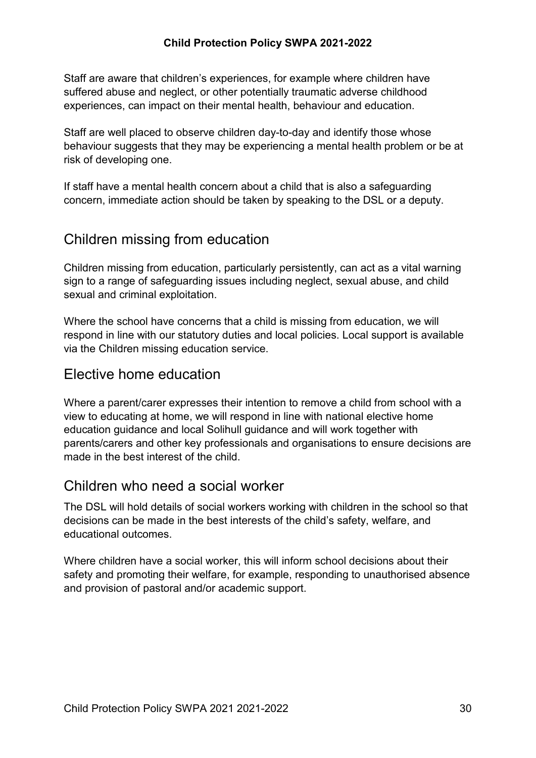Staff are aware that children's experiences, for example where children have suffered abuse and neglect, or other potentially traumatic adverse childhood experiences, can impact on their mental health, behaviour and education.

Staff are well placed to observe children day-to-day and identify those whose behaviour suggests that they may be experiencing a mental health problem or be at risk of developing one.

If staff have a mental health concern about a child that is also a safeguarding concern, immediate action should be taken by speaking to the DSL or a deputy.

### Children missing from education

Children missing from education, particularly persistently, can act as a vital warning sign to a range of safeguarding issues including neglect, sexual abuse, and child sexual and criminal exploitation.

Where the school have concerns that a child is missing from education, we will respond in line with our statutory duties and local policies. Local support is available via the Children missing education service.

### Elective home education

Where a parent/carer expresses their intention to remove a child from school with a view to educating at home, we will respond in line with national elective home education guidance and local Solihull guidance and will work together with parents/carers and other key professionals and organisations to ensure decisions are made in the best interest of the child.

#### <span id="page-29-0"></span>Children who need a social worker

The DSL will hold details of social workers working with children in the school so that decisions can be made in the best interests of the child's safety, welfare, and educational outcomes.

Where children have a social worker, this will inform school decisions about their safety and promoting their welfare, for example, responding to unauthorised absence and provision of pastoral and/or academic support.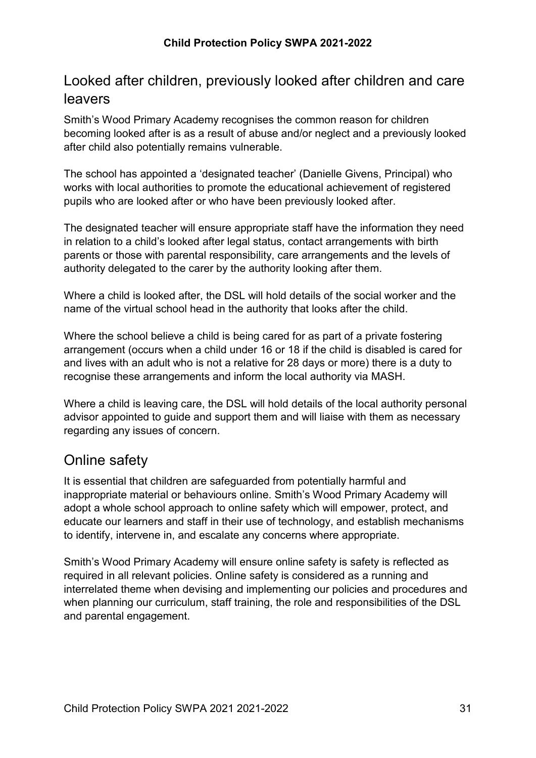# <span id="page-30-0"></span>Looked after children, previously looked after children and care leavers

Smith's Wood Primary Academy recognises the common reason for children becoming looked after is as a result of abuse and/or neglect and a previously looked after child also potentially remains vulnerable.

The school has appointed a 'designated teacher' (Danielle Givens, Principal) who works with local authorities to promote the educational achievement of registered pupils who are looked after or who have been previously looked after.

The designated teacher will ensure appropriate staff have the information they need in relation to a child's looked after legal status, contact arrangements with birth parents or those with parental responsibility, care arrangements and the levels of authority delegated to the carer by the authority looking after them.

Where a child is looked after, the DSL will hold details of the social worker and the name of the virtual school head in the authority that looks after the child.

Where the school believe a child is being cared for as part of a private fostering arrangement (occurs when a child under 16 or 18 if the child is disabled is cared for and lives with an adult who is not a relative for 28 days or more) there is a duty to recognise these arrangements and inform the local authority via MASH.

Where a child is leaving care, the DSL will hold details of the local authority personal advisor appointed to guide and support them and will liaise with them as necessary regarding any issues of concern.

# <span id="page-30-1"></span>Online safety

It is essential that children are safeguarded from potentially harmful and inappropriate material or behaviours online. Smith's Wood Primary Academy will adopt a whole school approach to online safety which will empower, protect, and educate our learners and staff in their use of technology, and establish mechanisms to identify, intervene in, and escalate any concerns where appropriate.

Smith's Wood Primary Academy will ensure online safety is safety is reflected as required in all relevant policies. Online safety is considered as a running and interrelated theme when devising and implementing our policies and procedures and when planning our curriculum, staff training, the role and responsibilities of the DSL and parental engagement.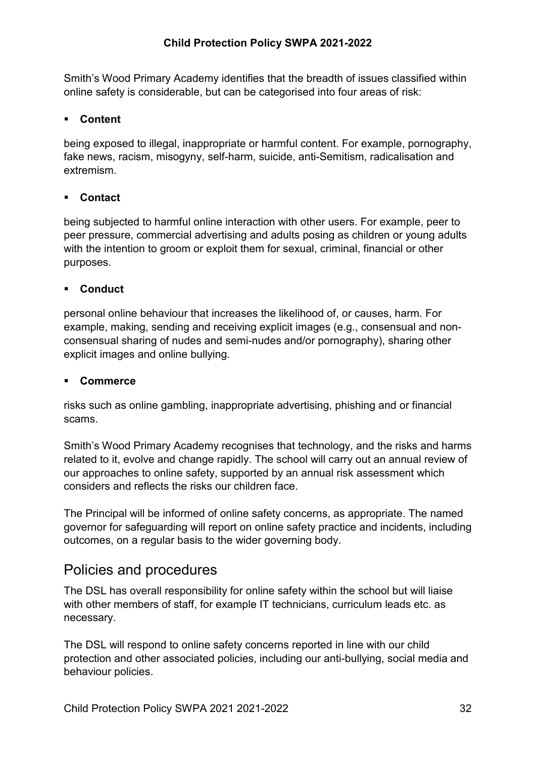Smith's Wood Primary Academy identifies that the breadth of issues classified within online safety is considerable, but can be categorised into four areas of risk:

#### **Content**

being exposed to illegal, inappropriate or harmful content. For example, pornography, fake news, racism, misogyny, self-harm, suicide, anti-Semitism, radicalisation and extremism.

#### **Contact**

being subjected to harmful online interaction with other users. For example, peer to peer pressure, commercial advertising and adults posing as children or young adults with the intention to groom or exploit them for sexual, criminal, financial or other purposes.

#### **Conduct**

personal online behaviour that increases the likelihood of, or causes, harm. For example, making, sending and receiving explicit images (e.g., consensual and nonconsensual sharing of nudes and semi-nudes and/or pornography), sharing other explicit images and online bullying.

#### **Commerce**

risks such as online gambling, inappropriate advertising, phishing and or financial scams.

Smith's Wood Primary Academy recognises that technology, and the risks and harms related to it, evolve and change rapidly. The school will carry out an annual review of our approaches to online safety, supported by an annual risk assessment which considers and reflects the risks our children face.

The Principal will be informed of online safety concerns, as appropriate. The named governor for safeguarding will report on online safety practice and incidents, including outcomes, on a regular basis to the wider governing body.

#### <span id="page-31-0"></span>Policies and procedures

The DSL has overall responsibility for online safety within the school but will liaise with other members of staff, for example IT technicians, curriculum leads etc. as necessary.

The DSL will respond to online safety concerns reported in line with our child protection and other associated policies, including our anti-bullying, social media and behaviour policies.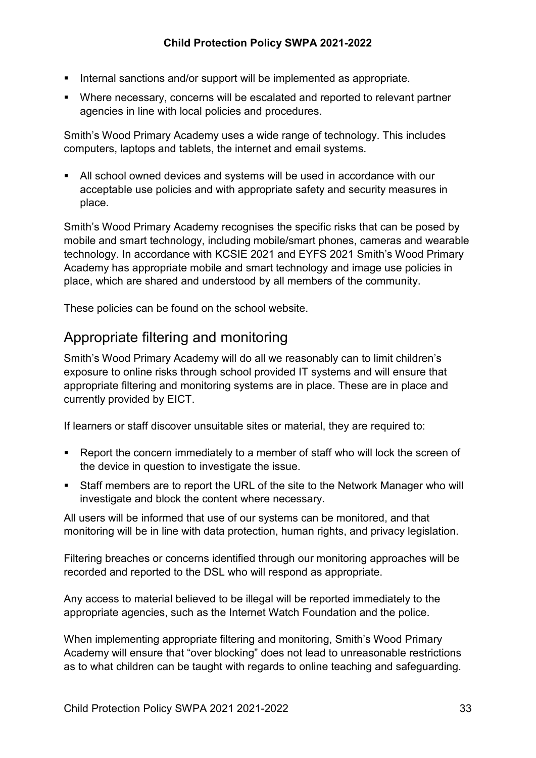- Internal sanctions and/or support will be implemented as appropriate.
- Where necessary, concerns will be escalated and reported to relevant partner agencies in line with local policies and procedures.

Smith's Wood Primary Academy uses a wide range of technology. This includes computers, laptops and tablets, the internet and email systems.

 All school owned devices and systems will be used in accordance with our acceptable use policies and with appropriate safety and security measures in place.

Smith's Wood Primary Academy recognises the specific risks that can be posed by mobile and smart technology, including mobile/smart phones, cameras and wearable technology. In accordance with KCSIE 2021 and EYFS 2021 Smith's Wood Primary Academy has appropriate mobile and smart technology and image use policies in place, which are shared and understood by all members of the community.

These policies can be found on the school website.

### <span id="page-32-0"></span>Appropriate filtering and monitoring

Smith's Wood Primary Academy will do all we reasonably can to limit children's exposure to online risks through school provided IT systems and will ensure that appropriate filtering and monitoring systems are in place. These are in place and currently provided by EICT.

If learners or staff discover unsuitable sites or material, they are required to:

- Report the concern immediately to a member of staff who will lock the screen of the device in question to investigate the issue.
- Staff members are to report the URL of the site to the Network Manager who will investigate and block the content where necessary.

All users will be informed that use of our systems can be monitored, and that monitoring will be in line with data protection, human rights, and privacy legislation.

Filtering breaches or concerns identified through our monitoring approaches will be recorded and reported to the DSL who will respond as appropriate.

Any access to material believed to be illegal will be reported immediately to the appropriate agencies, such as the Internet Watch Foundation and the police.

When implementing appropriate filtering and monitoring, Smith's Wood Primary Academy will ensure that "over blocking" does not lead to unreasonable restrictions as to what children can be taught with regards to online teaching and safeguarding.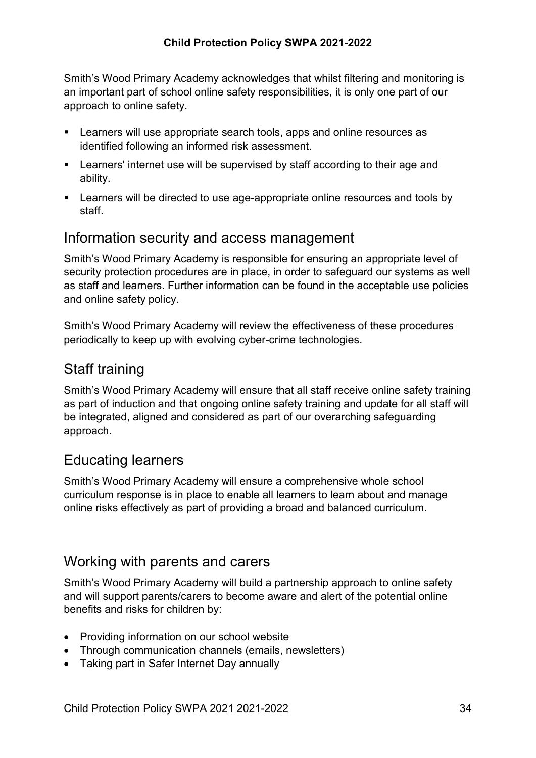Smith's Wood Primary Academy acknowledges that whilst filtering and monitoring is an important part of school online safety responsibilities, it is only one part of our approach to online safety.

- **EXECT** Learners will use appropriate search tools, apps and online resources as identified following an informed risk assessment.
- **EXECT** Learners' internet use will be supervised by staff according to their age and ability.
- Learners will be directed to use age-appropriate online resources and tools by staff.

#### <span id="page-33-0"></span>Information security and access management

Smith's Wood Primary Academy is responsible for ensuring an appropriate level of security protection procedures are in place, in order to safeguard our systems as well as staff and learners. Further information can be found in the acceptable use policies and online safety policy.

Smith's Wood Primary Academy will review the effectiveness of these procedures periodically to keep up with evolving cyber-crime technologies.

# <span id="page-33-1"></span>Staff training

Smith's Wood Primary Academy will ensure that all staff receive online safety training as part of induction and that ongoing online safety training and update for all staff will be integrated, aligned and considered as part of our overarching safeguarding approach.

### <span id="page-33-2"></span>Educating learners

Smith's Wood Primary Academy will ensure a comprehensive whole school curriculum response is in place to enable all learners to learn about and manage online risks effectively as part of providing a broad and balanced curriculum.

#### <span id="page-33-3"></span>Working with parents and carers

Smith's Wood Primary Academy will build a partnership approach to online safety and will support parents/carers to become aware and alert of the potential online benefits and risks for children by:

- Providing information on our school website
- Through communication channels (emails, newsletters)
- Taking part in Safer Internet Day annually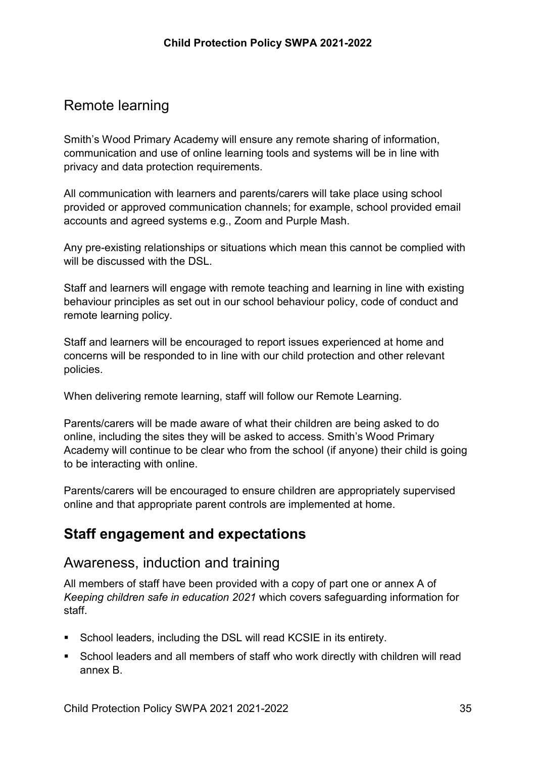# <span id="page-34-0"></span>Remote learning

Smith's Wood Primary Academy will ensure any remote sharing of information, communication and use of online learning tools and systems will be in line with privacy and data protection requirements.

All communication with learners and parents/carers will take place using school provided or approved communication channels; for example, school provided email accounts and agreed systems e.g., Zoom and Purple Mash.

Any pre-existing relationships or situations which mean this cannot be complied with will be discussed with the DSL.

Staff and learners will engage with remote teaching and learning in line with existing behaviour principles as set out in our school behaviour policy, code of conduct and remote learning policy.

Staff and learners will be encouraged to report issues experienced at home and concerns will be responded to in line with our child protection and other relevant policies.

When delivering remote learning, staff will follow our Remote Learning.

Parents/carers will be made aware of what their children are being asked to do online, including the sites they will be asked to access. Smith's Wood Primary Academy will continue to be clear who from the school (if anyone) their child is going to be interacting with online.

Parents/carers will be encouraged to ensure children are appropriately supervised online and that appropriate parent controls are implemented at home.

# <span id="page-34-1"></span>**Staff engagement and expectations**

#### <span id="page-34-2"></span>Awareness, induction and training

All members of staff have been provided with a copy of part one or annex A of *Keeping children safe in education 2021* which covers safeguarding information for staff.

- School leaders, including the DSL will read KCSIE in its entirety.
- School leaders and all members of staff who work directly with children will read annex B.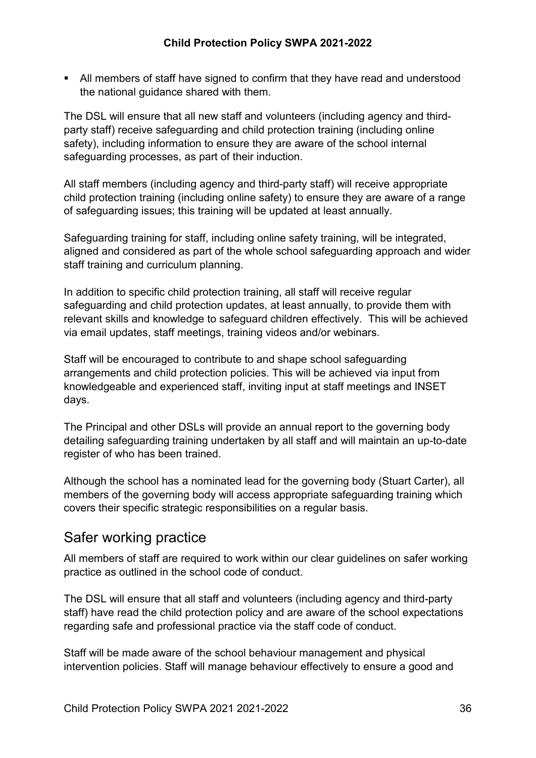All members of staff have signed to confirm that they have read and understood the national guidance shared with them.

The DSL will ensure that all new staff and volunteers (including agency and thirdparty staff) receive safeguarding and child protection training (including online safety), including information to ensure they are aware of the school internal safeguarding processes, as part of their induction.

All staff members (including agency and third-party staff) will receive appropriate child protection training (including online safety) to ensure they are aware of a range of safeguarding issues; this training will be updated at least annually.

Safeguarding training for staff, including online safety training, will be integrated, aligned and considered as part of the whole school safeguarding approach and wider staff training and curriculum planning.

In addition to specific child protection training, all staff will receive regular safeguarding and child protection updates, at least annually, to provide them with relevant skills and knowledge to safeguard children effectively. This will be achieved via email updates, staff meetings, training videos and/or webinars.

Staff will be encouraged to contribute to and shape school safeguarding arrangements and child protection policies. This will be achieved via input from knowledgeable and experienced staff, inviting input at staff meetings and INSET days.

The Principal and other DSLs will provide an annual report to the governing body detailing safeguarding training undertaken by all staff and will maintain an up-to-date register of who has been trained.

Although the school has a nominated lead for the governing body (Stuart Carter), all members of the governing body will access appropriate safeguarding training which covers their specific strategic responsibilities on a regular basis.

### <span id="page-35-0"></span>Safer working practice

All members of staff are required to work within our clear guidelines on safer working practice as outlined in the school code of conduct.

The DSL will ensure that all staff and volunteers (including agency and third-party staff) have read the child protection policy and are aware of the school expectations regarding safe and professional practice via the staff code of conduct.

Staff will be made aware of the school behaviour management and physical intervention policies. Staff will manage behaviour effectively to ensure a good and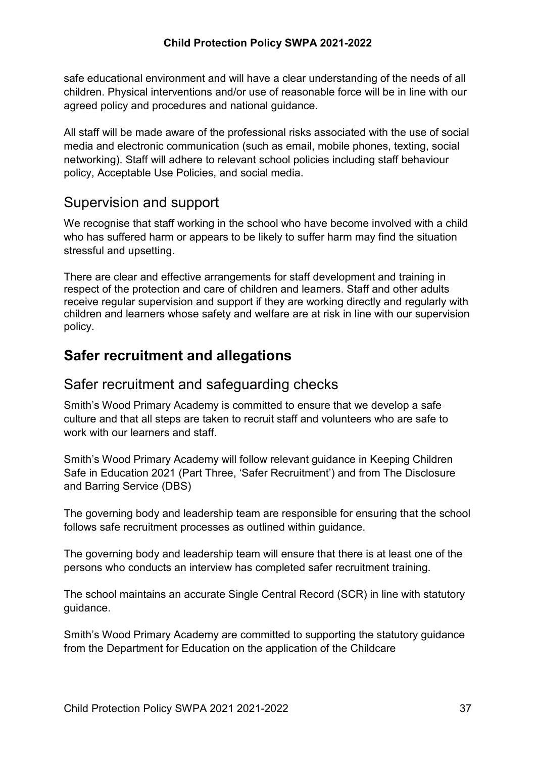safe educational environment and will have a clear understanding of the needs of all children. Physical interventions and/or use of reasonable force will be in line with our agreed policy and procedures and national guidance.

All staff will be made aware of the professional risks associated with the use of social media and electronic communication (such as email, mobile phones, texting, social networking). Staff will adhere to relevant school policies including staff behaviour policy, Acceptable Use Policies, and social media.

### <span id="page-36-0"></span>Supervision and support

We recognise that staff working in the school who have become involved with a child who has suffered harm or appears to be likely to suffer harm may find the situation stressful and upsetting.

There are clear and effective arrangements for staff development and training in respect of the protection and care of children and learners. Staff and other adults receive regular supervision and support if they are working directly and regularly with children and learners whose safety and welfare are at risk in line with our supervision policy.

# <span id="page-36-1"></span>**Safer recruitment and allegations**

### <span id="page-36-2"></span>Safer recruitment and safeguarding checks

Smith's Wood Primary Academy is committed to ensure that we develop a safe culture and that all steps are taken to recruit staff and volunteers who are safe to work with our learners and staff.

Smith's Wood Primary Academy will follow relevant guidance in Keeping Children Safe in Education 2021 (Part Three, 'Safer Recruitment') and from The Disclosure and Barring Service (DBS)

The governing body and leadership team are responsible for ensuring that the school follows safe recruitment processes as outlined within guidance.

The governing body and leadership team will ensure that there is at least one of the persons who conducts an interview has completed safer recruitment training.

The school maintains an accurate Single Central Record (SCR) in line with statutory guidance.

Smith's Wood Primary Academy are committed to supporting the statutory guidance from the Department for Education on the application of the Childcare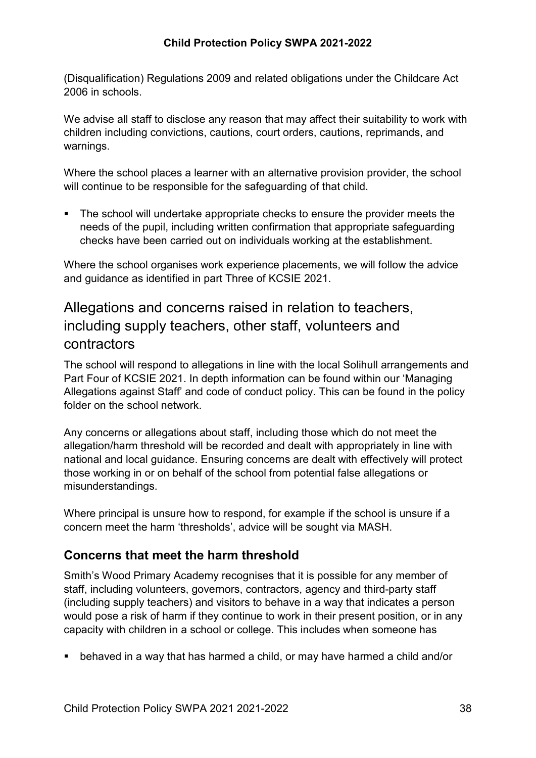(Disqualification) Regulations 2009 and related obligations under the Childcare Act 2006 in schools.

We advise all staff to disclose any reason that may affect their suitability to work with children including convictions, cautions, court orders, cautions, reprimands, and warnings.

Where the school places a learner with an alternative provision provider, the school will continue to be responsible for the safeguarding of that child.

• The school will undertake appropriate checks to ensure the provider meets the needs of the pupil, including written confirmation that appropriate safeguarding checks have been carried out on individuals working at the establishment.

Where the school organises work experience placements, we will follow the advice and guidance as identified in part Three of KCSIE 2021.

# <span id="page-37-0"></span>Allegations and concerns raised in relation to teachers, including supply teachers, other staff, volunteers and contractors

The school will respond to allegations in line with the local Solihull arrangements and Part Four of KCSIE 2021. In depth information can be found within our 'Managing Allegations against Staff' and code of conduct policy. This can be found in the policy folder on the school network.

Any concerns or allegations about staff, including those which do not meet the allegation/harm threshold will be recorded and dealt with appropriately in line with national and local guidance. Ensuring concerns are dealt with effectively will protect those working in or on behalf of the school from potential false allegations or misunderstandings.

Where principal is unsure how to respond, for example if the school is unsure if a concern meet the harm 'thresholds', advice will be sought via MASH.

#### **Concerns that meet the harm threshold**

Smith's Wood Primary Academy recognises that it is possible for any member of staff, including volunteers, governors, contractors, agency and third-party staff (including supply teachers) and visitors to behave in a way that indicates a person would pose a risk of harm if they continue to work in their present position, or in any capacity with children in a school or college. This includes when someone has

behaved in a way that has harmed a child, or may have harmed a child and/or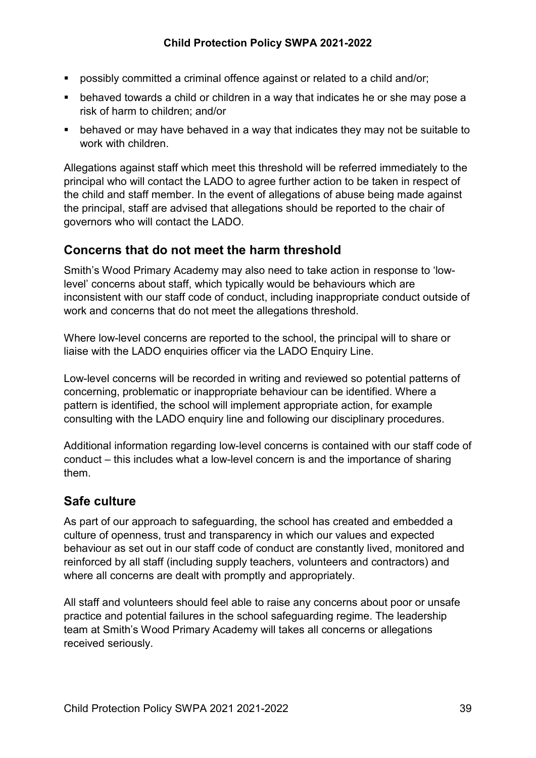- possibly committed a criminal offence against or related to a child and/or;
- behaved towards a child or children in a way that indicates he or she may pose a risk of harm to children; and/or
- behaved or may have behaved in a way that indicates they may not be suitable to work with children.

Allegations against staff which meet this threshold will be referred immediately to the principal who will contact the LADO to agree further action to be taken in respect of the child and staff member. In the event of allegations of abuse being made against the principal, staff are advised that allegations should be reported to the chair of governors who will contact the LADO.

#### **Concerns that do not meet the harm threshold**

Smith's Wood Primary Academy may also need to take action in response to 'lowlevel' concerns about staff, which typically would be behaviours which are inconsistent with our staff code of conduct, including inappropriate conduct outside of work and concerns that do not meet the allegations threshold.

Where low-level concerns are reported to the school, the principal will to share or liaise with the LADO enquiries officer via the LADO Enquiry Line.

Low-level concerns will be recorded in writing and reviewed so potential patterns of concerning, problematic or inappropriate behaviour can be identified. Where a pattern is identified, the school will implement appropriate action, for example consulting with the LADO enquiry line and following our disciplinary procedures.

Additional information regarding low-level concerns is contained with our staff code of conduct – this includes what a low-level concern is and the importance of sharing them.

#### **Safe culture**

As part of our approach to safeguarding, the school has created and embedded a culture of openness, trust and transparency in which our values and expected behaviour as set out in our staff code of conduct are constantly lived, monitored and reinforced by all staff (including supply teachers, volunteers and contractors) and where all concerns are dealt with promptly and appropriately.

All staff and volunteers should feel able to raise any concerns about poor or unsafe practice and potential failures in the school safeguarding regime. The leadership team at Smith's Wood Primary Academy will takes all concerns or allegations received seriously.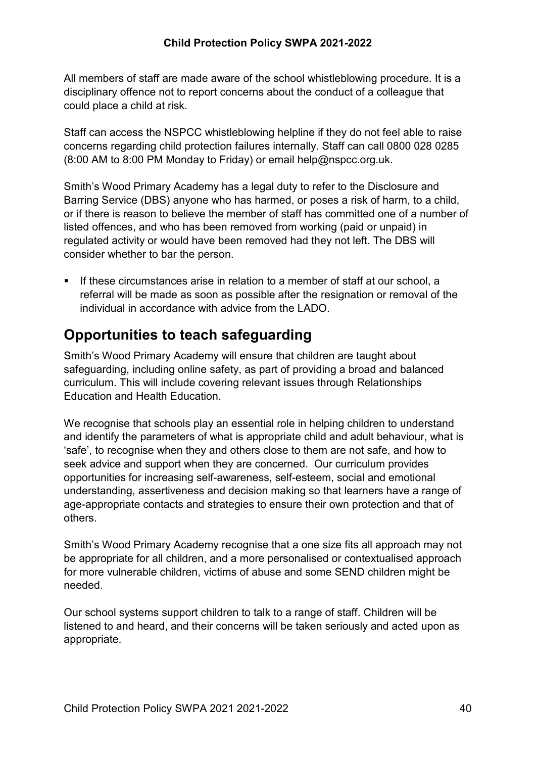All members of staff are made aware of the school whistleblowing procedure. It is a disciplinary offence not to report concerns about the conduct of a colleague that could place a child at risk.

Staff can access the NSPCC whistleblowing helpline if they do not feel able to raise concerns regarding child protection failures internally. Staff can call 0800 028 0285 (8:00 AM to 8:00 PM Monday to Friday) or email help@nspcc.org.uk.

Smith's Wood Primary Academy has a legal duty to refer to the Disclosure and Barring Service (DBS) anyone who has harmed, or poses a risk of harm, to a child, or if there is reason to believe the member of staff has committed one of a number of listed offences, and who has been removed from working (paid or unpaid) in regulated activity or would have been removed had they not left. The DBS will consider whether to bar the person.

 If these circumstances arise in relation to a member of staff at our school, a referral will be made as soon as possible after the resignation or removal of the individual in accordance with advice from the LADO.

# <span id="page-39-0"></span>**Opportunities to teach safeguarding**

Smith's Wood Primary Academy will ensure that children are taught about safeguarding, including online safety, as part of providing a broad and balanced curriculum. This will include covering relevant issues through Relationships Education and Health Education.

We recognise that schools play an essential role in helping children to understand and identify the parameters of what is appropriate child and adult behaviour, what is 'safe', to recognise when they and others close to them are not safe, and how to seek advice and support when they are concerned. Our curriculum provides opportunities for increasing self-awareness, self-esteem, social and emotional understanding, assertiveness and decision making so that learners have a range of age-appropriate contacts and strategies to ensure their own protection and that of others.

Smith's Wood Primary Academy recognise that a one size fits all approach may not be appropriate for all children, and a more personalised or contextualised approach for more vulnerable children, victims of abuse and some SEND children might be needed.

Our school systems support children to talk to a range of staff. Children will be listened to and heard, and their concerns will be taken seriously and acted upon as appropriate.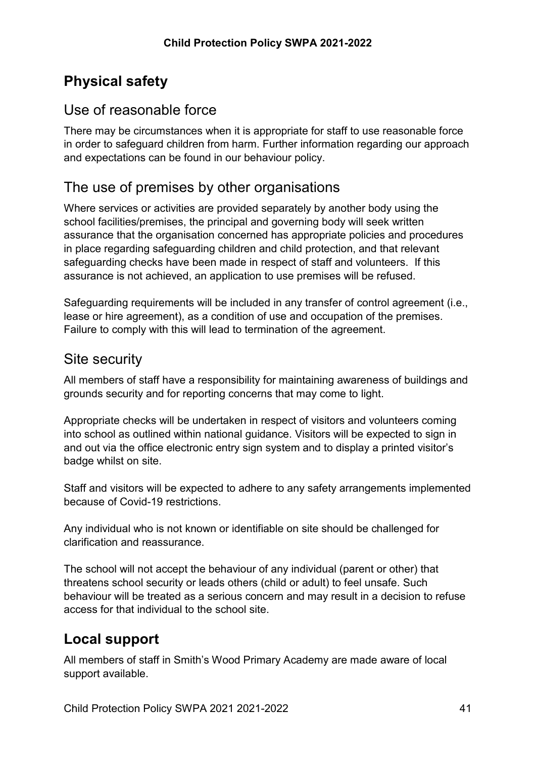# <span id="page-40-0"></span>**Physical safety**

#### <span id="page-40-1"></span>Use of reasonable force

There may be circumstances when it is appropriate for staff to use reasonable force in order to safeguard children from harm. Further information regarding our approach and expectations can be found in our behaviour policy.

### <span id="page-40-2"></span>The use of premises by other organisations

Where services or activities are provided separately by another body using the school facilities/premises, the principal and governing body will seek written assurance that the organisation concerned has appropriate policies and procedures in place regarding safeguarding children and child protection, and that relevant safeguarding checks have been made in respect of staff and volunteers. If this assurance is not achieved, an application to use premises will be refused.

Safeguarding requirements will be included in any transfer of control agreement (i.e., lease or hire agreement), as a condition of use and occupation of the premises. Failure to comply with this will lead to termination of the agreement.

#### <span id="page-40-3"></span>Site security

All members of staff have a responsibility for maintaining awareness of buildings and grounds security and for reporting concerns that may come to light.

Appropriate checks will be undertaken in respect of visitors and volunteers coming into school as outlined within national guidance. Visitors will be expected to sign in and out via the office electronic entry sign system and to display a printed visitor's badge whilst on site.

Staff and visitors will be expected to adhere to any safety arrangements implemented because of Covid-19 restrictions.

Any individual who is not known or identifiable on site should be challenged for clarification and reassurance.

The school will not accept the behaviour of any individual (parent or other) that threatens school security or leads others (child or adult) to feel unsafe. Such behaviour will be treated as a serious concern and may result in a decision to refuse access for that individual to the school site.

# <span id="page-40-4"></span>**Local support**

All members of staff in Smith's Wood Primary Academy are made aware of local support available.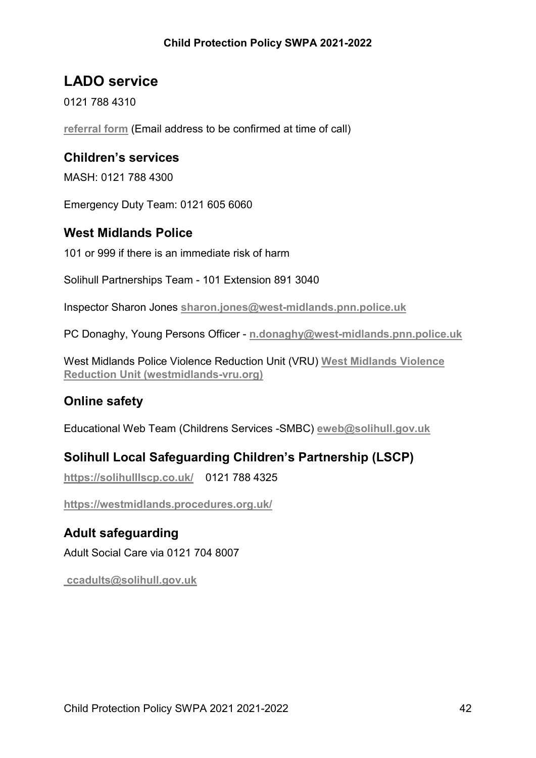# <span id="page-41-0"></span>**LADO service**

0121 788 4310

**[referral form](https://solihulllscp.co.uk/media/upload/fck/file/Signs%20of%20safety/POT%20referral%20form%202018.doc)** (Email address to be confirmed at time of call)

#### **Children's services**

MASH: 0121 788 4300

Emergency Duty Team: 0121 605 6060

#### **West Midlands Police**

101 or 999 if there is an immediate risk of harm

Solihull Partnerships Team - 101 Extension 891 3040

Inspector Sharon Jones **[sharon.jones@west-midlands.pnn.police.uk](mailto:%3csharon.jones@west-midlands.pnn.police.uk)**

PC Donaghy, Young Persons Officer - **[n.donaghy@west-midlands.pnn.police.uk](mailto:n.donaghy@west-midlands.pnn.police.uk)**

West Midlands Police Violence Reduction Unit (VRU) **[West Midlands Violence](https://westmidlands-vru.org/)  [Reduction Unit \(westmidlands-vru.org\)](https://westmidlands-vru.org/)**

#### **Online safety**

Educational Web Team (Childrens Services -SMBC) **[eweb@solihull.gov.uk](mailto:eweb@solihull.gov.uk)**

#### **Solihull Local Safeguarding Children's Partnership (LSCP)**

**<https://solihulllscp.co.uk/>** 0121 788 4325

**<https://westmidlands.procedures.org.uk/>**

**Adult safeguarding** Adult Social Care via 0121 704 8007

**ccadults@solihull.gov.uk**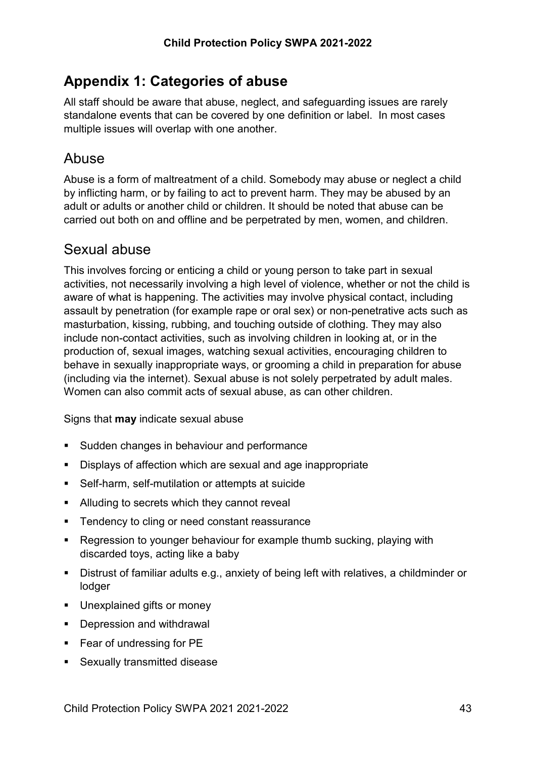# <span id="page-42-0"></span>**Appendix 1: Categories of abuse**

All staff should be aware that abuse, neglect, and safeguarding issues are rarely standalone events that can be covered by one definition or label. In most cases multiple issues will overlap with one another.

### Abuse

Abuse is a form of maltreatment of a child. Somebody may abuse or neglect a child by inflicting harm, or by failing to act to prevent harm. They may be abused by an adult or adults or another child or children. It should be noted that abuse can be carried out both on and offline and be perpetrated by men, women, and children.

### Sexual abuse

This involves forcing or enticing a child or young person to take part in sexual activities, not necessarily involving a high level of violence, whether or not the child is aware of what is happening. The activities may involve physical contact, including assault by penetration (for example rape or oral sex) or non-penetrative acts such as masturbation, kissing, rubbing, and touching outside of clothing. They may also include non-contact activities, such as involving children in looking at, or in the production of, sexual images, watching sexual activities, encouraging children to behave in sexually inappropriate ways, or grooming a child in preparation for abuse (including via the internet). Sexual abuse is not solely perpetrated by adult males. Women can also commit acts of sexual abuse, as can other children.

Signs that **may** indicate sexual abuse

- **Sudden changes in behaviour and performance**
- **Displays of affection which are sexual and age inappropriate**
- Self-harm, self-mutilation or attempts at suicide
- Alluding to secrets which they cannot reveal
- **Tendency to cling or need constant reassurance**
- Regression to younger behaviour for example thumb sucking, playing with discarded toys, acting like a baby
- Distrust of familiar adults e.g., anxiety of being left with relatives, a childminder or lodger
- **Unexplained gifts or money**
- **Depression and withdrawal**
- **Fear of undressing for PE**
- **Sexually transmitted disease**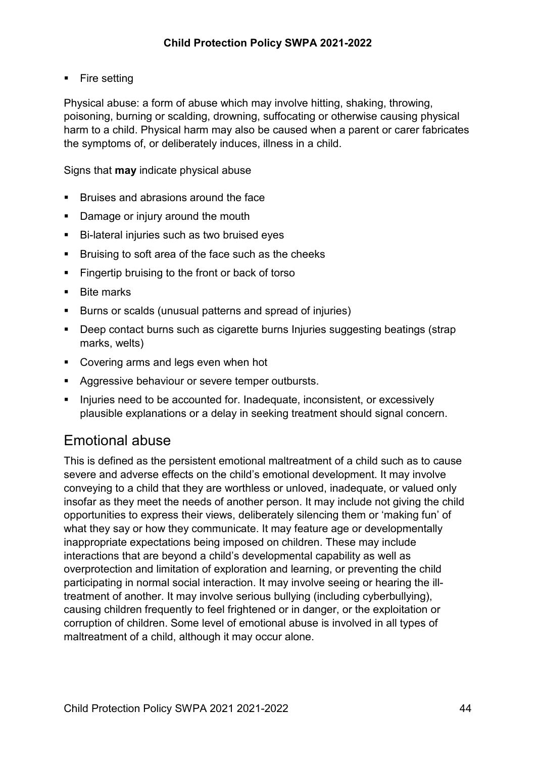**Fire setting** 

Physical abuse: a form of abuse which may involve hitting, shaking, throwing, poisoning, burning or scalding, drowning, suffocating or otherwise causing physical harm to a child. Physical harm may also be caused when a parent or carer fabricates the symptoms of, or deliberately induces, illness in a child.

Signs that **may** indicate physical abuse

- **Bruises and abrasions around the face**
- **Damage or injury around the mouth**
- Bi-lateral injuries such as two bruised eyes
- **Bruising to soft area of the face such as the cheeks**
- Fingertip bruising to the front or back of torso
- **Bite marks**
- Burns or scalds (unusual patterns and spread of injuries)
- Deep contact burns such as cigarette burns Injuries suggesting beatings (strap marks, welts)
- Covering arms and legs even when hot
- Aggressive behaviour or severe temper outbursts.
- Injuries need to be accounted for. Inadequate, inconsistent, or excessively plausible explanations or a delay in seeking treatment should signal concern.

#### Emotional abuse

This is defined as the persistent emotional maltreatment of a child such as to cause severe and adverse effects on the child's emotional development. It may involve conveying to a child that they are worthless or unloved, inadequate, or valued only insofar as they meet the needs of another person. It may include not giving the child opportunities to express their views, deliberately silencing them or 'making fun' of what they say or how they communicate. It may feature age or developmentally inappropriate expectations being imposed on children. These may include interactions that are beyond a child's developmental capability as well as overprotection and limitation of exploration and learning, or preventing the child participating in normal social interaction. It may involve seeing or hearing the illtreatment of another. It may involve serious bullying (including cyberbullying), causing children frequently to feel frightened or in danger, or the exploitation or corruption of children. Some level of emotional abuse is involved in all types of maltreatment of a child, although it may occur alone.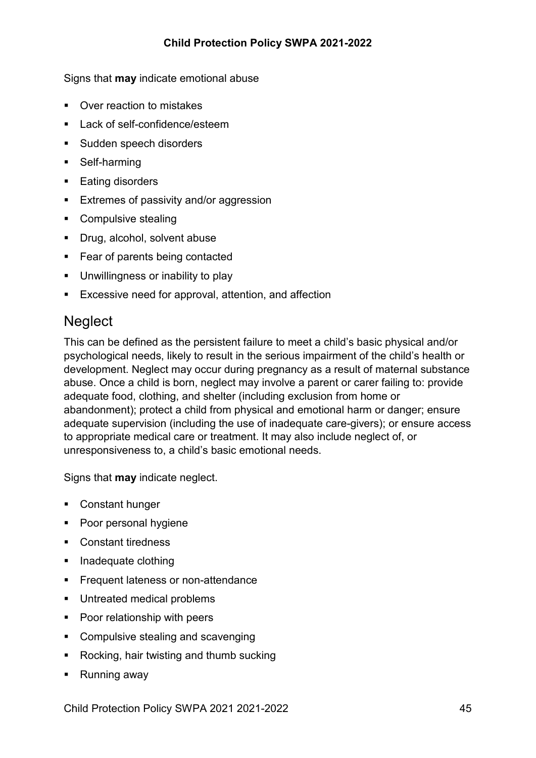Signs that **may** indicate emotional abuse

- Over reaction to mistakes
- $\blacksquare$  Lack of self-confidence/esteem
- **Sudden speech disorders**
- **Self-harming**
- **Eating disorders**
- **Extremes of passivity and/or aggression**
- Compulsive stealing
- **Drug, alcohol, solvent abuse**
- Fear of parents being contacted
- **Unwillingness or inability to play**
- Excessive need for approval, attention, and affection

#### **Neglect**

This can be defined as the persistent failure to meet a child's basic physical and/or psychological needs, likely to result in the serious impairment of the child's health or development. Neglect may occur during pregnancy as a result of maternal substance abuse. Once a child is born, neglect may involve a parent or carer failing to: provide adequate food, clothing, and shelter (including exclusion from home or abandonment); protect a child from physical and emotional harm or danger; ensure adequate supervision (including the use of inadequate care-givers); or ensure access to appropriate medical care or treatment. It may also include neglect of, or unresponsiveness to, a child's basic emotional needs.

Signs that **may** indicate neglect.

- Constant hunger
- Poor personal hygiene
- Constant tiredness
- **Inadequate clothing**
- **Frequent lateness or non-attendance**
- **Untreated medical problems**
- Poor relationship with peers
- Compulsive stealing and scavenging
- Rocking, hair twisting and thumb sucking
- Running away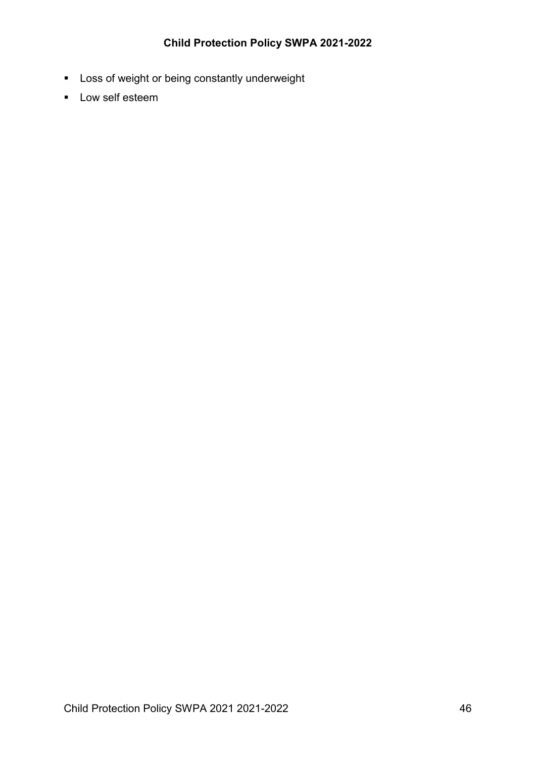- **Loss of weight or being constantly underweight**
- **Low self esteem**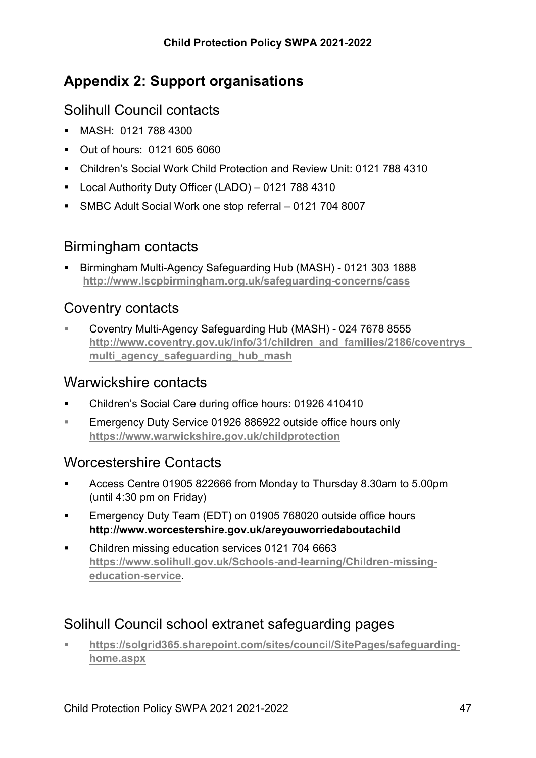# <span id="page-46-0"></span>**Appendix 2: Support organisations**

### <span id="page-46-1"></span>Solihull Council contacts

- **MASH: 0121 788 4300**
- Out of hours: 0121 605 6060
- Children's Social Work Child Protection and Review Unit: 0121 788 4310
- Local Authority Duty Officer (LADO) 0121 788 4310
- SMBC Adult Social Work one stop referral 0121 704 8007

### Birmingham contacts

 Birmingham Multi-Agency Safeguarding Hub (MASH) - 0121 303 1888 **<http://www.lscpbirmingham.org.uk/safeguarding-concerns/cass>**

# Coventry contacts

 Coventry Multi-Agency Safeguarding Hub (MASH) - 024 7678 8555 **[http://www.coventry.gov.uk/info/31/children\\_and\\_families/2186/coventrys\\_](http://www.coventry.gov.uk/info/31/children_and_families/2186/coventrys_multi_agency_safeguarding_hub_mash) [multi\\_agency\\_safeguarding\\_hub\\_mash](http://www.coventry.gov.uk/info/31/children_and_families/2186/coventrys_multi_agency_safeguarding_hub_mash)**

### Warwickshire contacts

- Children's Social Care during office hours: 01926 410410
- **Emergency Duty Service 01926 886922 outside office hours only <https://www.warwickshire.gov.uk/childprotection>**

# Worcestershire Contacts

- Access Centre 01905 822666 from Monday to Thursday 8.30am to 5.00pm (until 4:30 pm on Friday)
- Emergency Duty Team (EDT) on 01905 768020 outside office hours **<http://www.worcestershire.gov.uk/areyouworriedaboutachild>**
- Children missing education services 0121 704 6663 **[https://www.solihull.gov.uk/Schools-and-learning/Children-missing](https://www.solihull.gov.uk/Schools-and-learning/Children-missing-education-service)[education-service](https://www.solihull.gov.uk/Schools-and-learning/Children-missing-education-service)**.

# Solihull Council school extranet safeguarding pages

 **[https://solgrid365.sharepoint.com/sites/council/SitePages/safeguarding](https://solgrid365.sharepoint.com/sites/council/SitePages/safeguarding-home.aspx)[home.aspx](https://solgrid365.sharepoint.com/sites/council/SitePages/safeguarding-home.aspx)**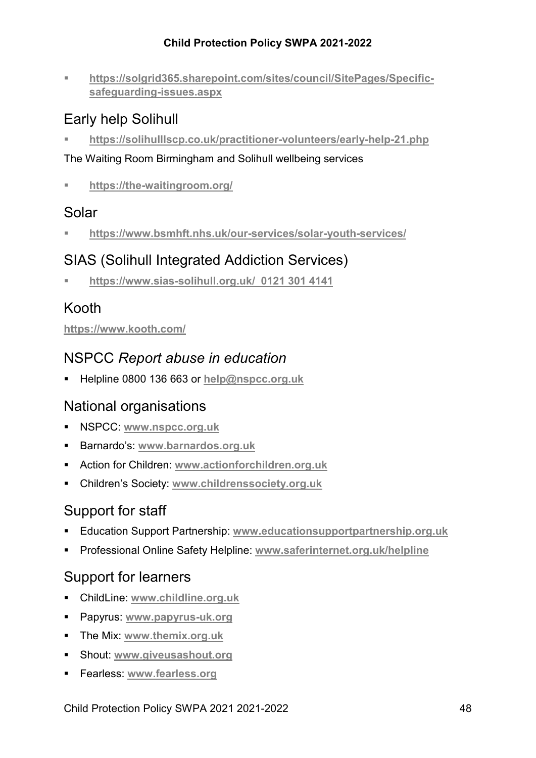**[https://solgrid365.sharepoint.com/sites/council/SitePages/Specific](https://solgrid365.sharepoint.com/sites/council/SitePages/Specific-safeguarding-issues.aspx)[safeguarding-issues.aspx](https://solgrid365.sharepoint.com/sites/council/SitePages/Specific-safeguarding-issues.aspx)**

# Early help Solihull

**<https://solihulllscp.co.uk/practitioner-volunteers/early-help-21.php>**

The Waiting Room Birmingham and Solihull wellbeing services

**<https://the-waitingroom.org/>**

#### Solar

**<https://www.bsmhft.nhs.uk/our-services/solar-youth-services/>**

# SIAS (Solihull Integrated Addiction Services)

**<https://www.sias-solihull.org.uk/> 0121 301 4141**

# Kooth

#### **<https://www.kooth.com/>**

# NSPCC *Report abuse in education*

Helpline 0800 136 663 or **[help@nspcc.org.uk](mailto:help@nspcc.org.uk)**

# National organisations

- NSPCC: **[www.nspcc.org.uk](http://www.nspcc.org.uk/)**
- Barnardo's: **[www.barnardos.org.uk](http://www.barnardos.org.uk/)**
- Action for Children: **[www.actionforchildren.org.uk](http://www.actionforchildren.org.uk/)**
- Children's Society: **[www.childrenssociety.org.uk](http://www.childrenssociety.org.uk/)**

# Support for staff

- Education Support Partnership: **[www.educationsupportpartnership.org.uk](http://www.educationsupportpartnership.org.uk/)**
- Professional Online Safety Helpline: **[www.saferinternet.org.uk/helpline](http://www.saferinternet.org.uk/helpline)**

# Support for learners

- ChildLine: **[www.childline.org.uk](http://www.childline.org.uk/)**
- Papyrus: **[www.papyrus-uk.org](http://www.papyrus-uk.org/)**
- The Mix: **[www.themix.org.uk](http://www.themix.org.uk/)**
- Shout: **[www.giveusashout.org](http://www.giveusashout.org/)**
- Fearless: **[www.fearless.org](http://www.fearless.org/)**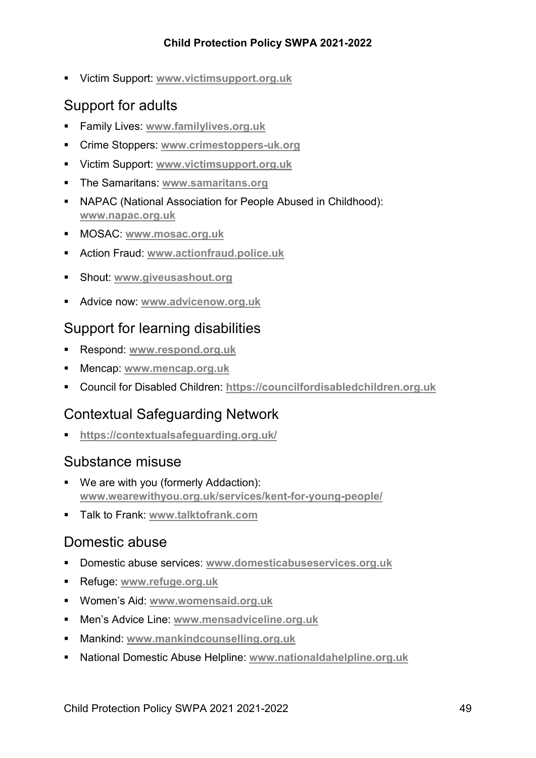Victim Support: **[www.victimsupport.org.uk](http://www.victimsupport.org.uk/)**

# Support for adults

- Family Lives: **[www.familylives.org.uk](http://www.familylives.org.uk/)**
- Crime Stoppers: **[www.crimestoppers-uk.org](http://www.crimestoppers-uk.org/)**
- Victim Support: **[www.victimsupport.org.uk](http://www.victimsupport.org.uk/)**
- The Samaritans: **[www.samaritans.org](http://www.samaritans.org/)**
- NAPAC (National Association for People Abused in Childhood): **[www.napac.org.uk](http://www.napac.org.uk/)**
- MOSAC: **[www.mosac.org.uk](http://www.mosac.org.uk/)**
- Action Fraud: **[www.actionfraud.police.uk](http://www.actionfraud.police.uk/)**
- Shout: **[www.giveusashout.org](http://www.giveusashout.org/)**
- Advice now: **[www.advicenow.org.uk](http://www.advicenow.org.uk/)**

### Support for learning disabilities

- Respond: **[www.respond.org.uk](http://www.respond.org.uk/)**
- Mencap: **[www.mencap.org.uk](http://www.mencap.org.uk/)**
- Council for Disabled Children: **[https://councilfordisabledchildren.org.uk](https://councilfordisabledchildren.org.uk/)**

# Contextual Safeguarding Network

**<https://contextualsafeguarding.org.uk/>**

#### Substance misuse

- We are with you (formerly Addaction): **[www.wearewithyou.org.uk/services/kent-for-young-people/](http://www.wearewithyou.org.uk/services/kent-for-young-people/)**
- Talk to Frank: **[www.talktofrank.com](http://www.talktofrank.com/)**

#### Domestic abuse

- Domestic abuse services: **[www.domesticabuseservices.org.uk](http://www.domesticabuseservices.org.uk/)**
- Refuge: **[www.refuge.org.uk](http://www.refuge.org.uk/)**
- Women's Aid: **[www.womensaid.org.uk](http://www.womensaid.org.uk/)**
- Men's Advice Line: **[www.mensadviceline.org.uk](http://www.mensadviceline.org.uk/)**
- Mankind: **[www.mankindcounselling.org.uk](http://www.mankindcounselling.org.uk/)**
- National Domestic Abuse Helpline: **[www.nationaldahelpline.org.uk](http://www.nationaldahelpline.org.uk/)**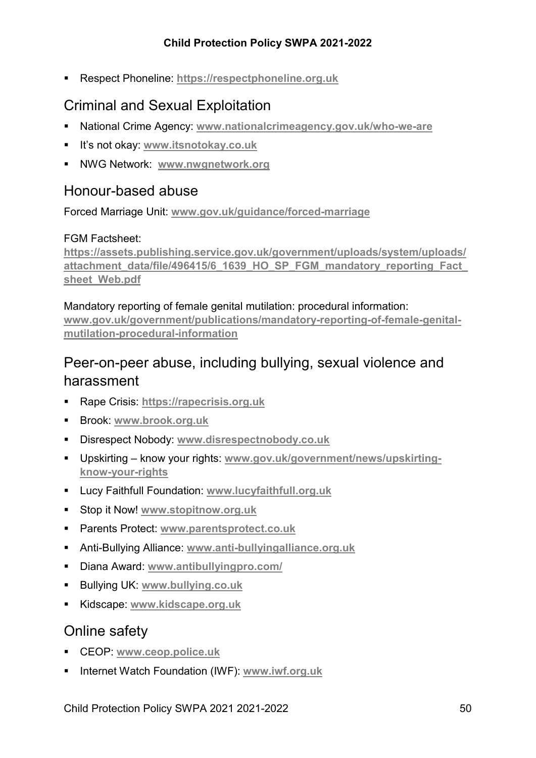Respect Phoneline: **[https://respectphoneline.org.uk](https://respectphoneline.org.uk/)**

# Criminal and Sexual Exploitation

- National Crime Agency: **[www.nationalcrimeagency.gov.uk/who-we-are](http://www.nationalcrimeagency.gov.uk/who-we-are)**
- It's not okay: **[www.itsnotokay.co.uk](http://www.itsnotokay.co.uk/)**
- NWG Network: **[www.nwgnetwork.org](http://www.nwgnetwork.org/)**

#### Honour-based abuse

Forced Marriage Unit: **[www.gov.uk/guidance/forced-marriage](http://www.gov.uk/guidance/forced-marriage)**

#### FGM Factsheet:

**[https://assets.publishing.service.gov.uk/government/uploads/system/uploads/](https://assets.publishing.service.gov.uk/government/uploads/system/uploads/attachment_data/file/496415/6_1639_HO_SP_FGM_mandatory_reporting_Fact_sheet_Web.pdf) [attachment\\_data/file/496415/6\\_1639\\_HO\\_SP\\_FGM\\_mandatory\\_reporting\\_Fact\\_](https://assets.publishing.service.gov.uk/government/uploads/system/uploads/attachment_data/file/496415/6_1639_HO_SP_FGM_mandatory_reporting_Fact_sheet_Web.pdf) [sheet\\_Web.pdf](https://assets.publishing.service.gov.uk/government/uploads/system/uploads/attachment_data/file/496415/6_1639_HO_SP_FGM_mandatory_reporting_Fact_sheet_Web.pdf)**

Mandatory reporting of female genital mutilation: procedural information: **[www.gov.uk/government/publications/mandatory-reporting-of-female-genital](http://www.gov.uk/government/publications/mandatory-reporting-of-female-genital-mutilation-procedural-information)[mutilation-procedural-information](http://www.gov.uk/government/publications/mandatory-reporting-of-female-genital-mutilation-procedural-information)**

# Peer-on-peer abuse, including bullying, sexual violence and harassment

- Rape Crisis: **[https://rapecrisis.org.uk](https://rapecrisis.org.uk/)**
- Brook: **[www.brook.org.uk](http://www.brook.org.uk/)**
- Disrespect Nobody: **[www.disrespectnobody.co.uk](http://www.disrespectnobody.co.uk/)**
- Upskirting know your rights: **[www.gov.uk/government/news/upskirting](http://www.gov.uk/government/news/upskirting-know-your-rights)[know-your-rights](http://www.gov.uk/government/news/upskirting-know-your-rights)**
- Lucy Faithfull Foundation: **[www.lucyfaithfull.org.uk](http://www.lucyfaithfull.org.uk/)**
- Stop it Now! **[www.stopitnow.org.uk](http://www.stopitnow.org.uk/)**
- Parents Protect: **[www.parentsprotect.co.uk](http://www.parentsprotect.co.uk/)**
- Anti-Bullying Alliance: **[www.anti-bullyingalliance.org.uk](http://www.anti-bullyingalliance.org.uk/)**
- Diana Award: **[www.antibullyingpro.com/](http://www.antibullyingpro.com/)**
- Bullying UK: **[www.bullying.co.uk](http://www.bullying.co.uk/)**
- Kidscape: **[www.kidscape.org.uk](http://www.kidscape.org.uk/)**

### Online safety

- CEOP: **[www.ceop.police.uk](http://www.ceop.police.uk/)**
- Internet Watch Foundation (IWF): [www.iwf.org.uk](http://www.iwf.org.uk/)